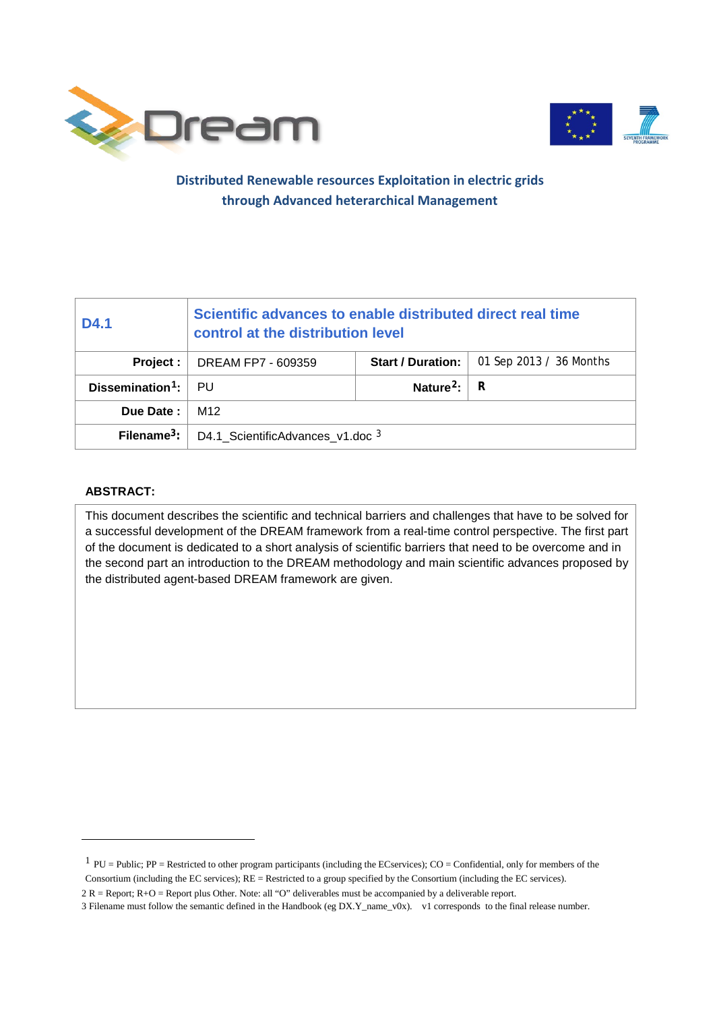



### **Distributed Renewable resources Exploitation in electric grids through Advanced heterarchical Management**

| D4.1                         | Scientific advances to enable distributed direct real time<br>control at the distribution level |                          |                         |  |
|------------------------------|-------------------------------------------------------------------------------------------------|--------------------------|-------------------------|--|
| Project :                    | DREAM FP7 - 609359                                                                              | <b>Start / Duration:</b> | 01 Sep 2013 / 36 Months |  |
| Dissemination <sup>1</sup> : | - PU                                                                                            | Nature <sup>2</sup> :    | R                       |  |
| Due Date:                    | M12                                                                                             |                          |                         |  |
| Filename $3$ :               | D4.1 ScientificAdvances v1.doc 3                                                                |                          |                         |  |

#### **ABSTRACT:**

-

This document describes the scientific and technical barriers and challenges that have to be solved for a successful development of the DREAM framework from a real-time control perspective. The first part of the document is dedicated to a short analysis of scientific barriers that need to be overcome and in the second part an introduction to the DREAM methodology and main scientific advances proposed by the distributed agent-based DREAM framework are given.

<span id="page-0-0"></span> $1$  PU = Public; PP = Restricted to other program participants (including the ECservices); CO = Confidential, only for members of the Consortium (including the EC services);  $RE =$  Restricted to a group specified by the Consortium (including the EC services).

<span id="page-0-1"></span><sup>2</sup> R = Report; R+O = Report plus Other. Note: all "O" deliverables must be accompanied by a deliverable report.

<span id="page-0-2"></span><sup>3</sup> Filename must follow the semantic defined in the Handbook (eg DX.Y\_name\_v0x). v1 corresponds to the final release number.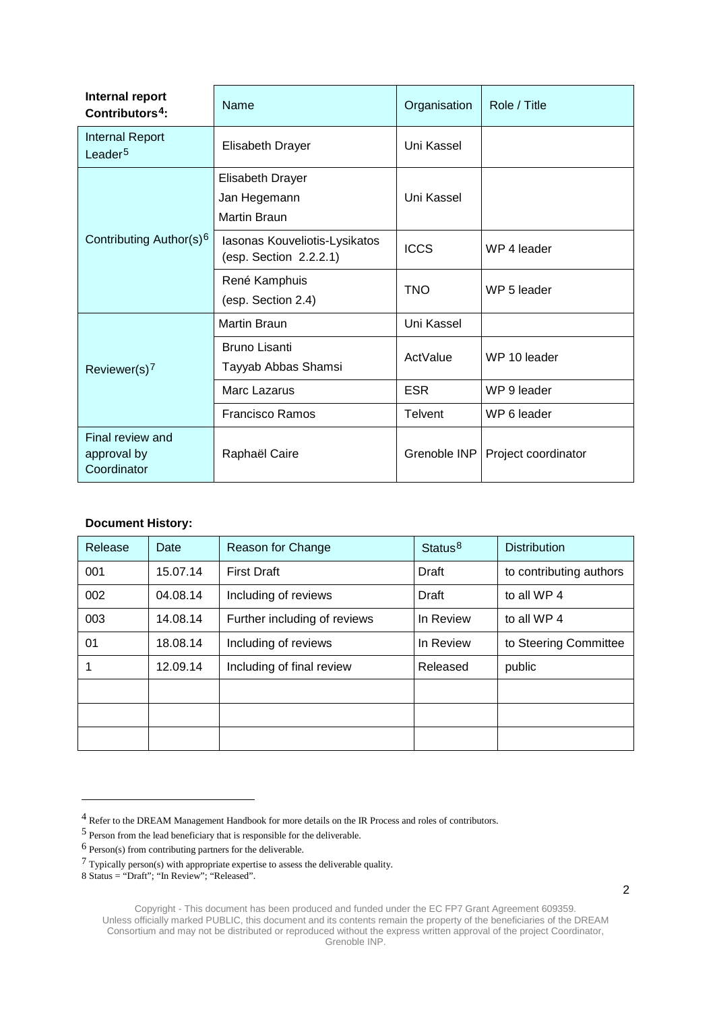| Internal report<br>Contributors <sup>4</sup> : | Name                                                           | Organisation   | Role / Title        |
|------------------------------------------------|----------------------------------------------------------------|----------------|---------------------|
| <b>Internal Report</b><br>Leader <sup>5</sup>  | <b>Elisabeth Drayer</b>                                        | Uni Kassel     |                     |
| Contributing Author(s) <sup>6</sup>            | <b>Elisabeth Drayer</b><br>Jan Hegemann<br><b>Martin Braun</b> | Uni Kassel     |                     |
|                                                | Iasonas Kouveliotis-Lysikatos<br>(esp. Section 2.2.2.1)        | <b>ICCS</b>    | WP 4 leader         |
|                                                | René Kamphuis<br>(esp. Section 2.4)                            | <b>TNO</b>     | WP 5 leader         |
| Reviewer(s) $7$                                | <b>Martin Braun</b>                                            | Uni Kassel     |                     |
|                                                | <b>Bruno Lisanti</b><br>Tayyab Abbas Shamsi                    | ActValue       | WP 10 leader        |
|                                                | Marc Lazarus                                                   | <b>ESR</b>     | WP 9 leader         |
|                                                | <b>Francisco Ramos</b>                                         | <b>Telvent</b> | WP 6 leader         |
| Final review and<br>approval by<br>Coordinator | Raphaël Caire                                                  | Grenoble INP   | Project coordinator |

#### **Document History:**

| Release | Date     | Reason for Change            | Status <sup>8</sup> | <b>Distribution</b>     |
|---------|----------|------------------------------|---------------------|-------------------------|
| 001     | 15.07.14 | <b>First Draft</b>           | Draft               | to contributing authors |
| 002     | 04.08.14 | Including of reviews         | Draft               | to all WP 4             |
| 003     | 14.08.14 | Further including of reviews | In Review           | to all WP 4             |
| 01      | 18.08.14 | Including of reviews         | In Review           | to Steering Committee   |
|         | 12.09.14 | Including of final review    | Released            | public                  |
|         |          |                              |                     |                         |
|         |          |                              |                     |                         |
|         |          |                              |                     |                         |

-

<span id="page-1-0"></span><sup>4</sup> Refer to the DREAM Management Handbook for more details on the IR Process and roles of contributors.

<span id="page-1-1"></span><sup>5</sup> Person from the lead beneficiary that is responsible for the deliverable.

<span id="page-1-2"></span><sup>6</sup> Person(s) from contributing partners for the deliverable.

<span id="page-1-3"></span> $7$  Typically person(s) with appropriate expertise to assess the deliverable quality.

<span id="page-1-4"></span><sup>8</sup> Status = "Draft"; "In Review"; "Released".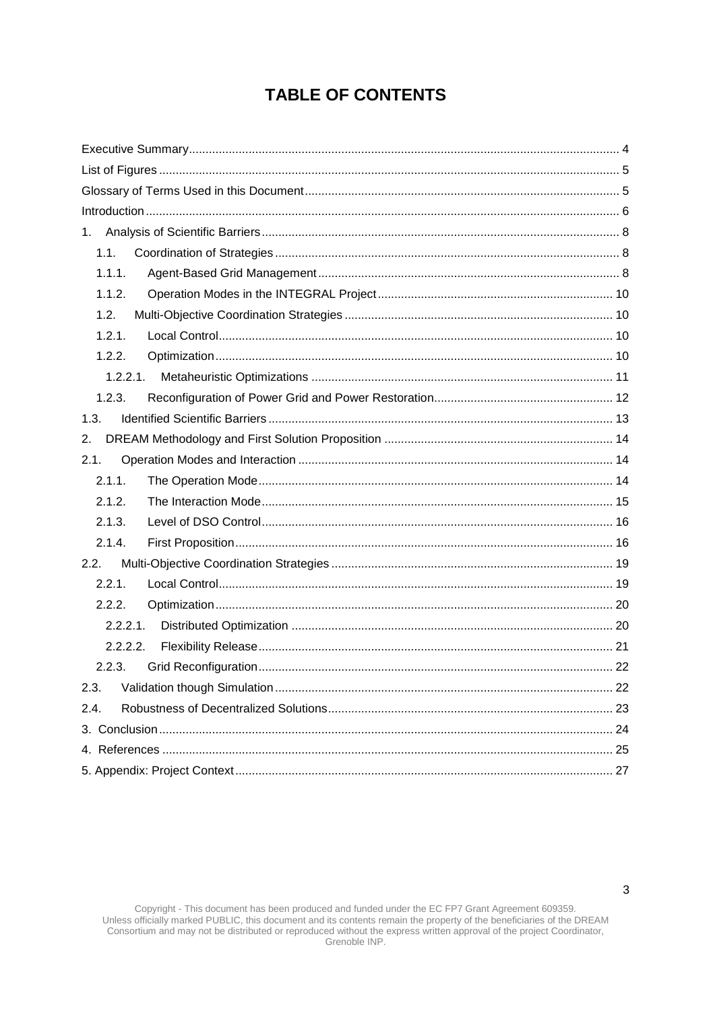# **TABLE OF CONTENTS**

| 1.1.        |  |
|-------------|--|
| 1.1.1.      |  |
| 1.1.2.      |  |
| 1.2.        |  |
| 1.2.1.      |  |
| 1.2.2.      |  |
| 1.2.2.1.    |  |
| 1.2.3.      |  |
| 1.3.        |  |
| 2.          |  |
| 2.1.        |  |
| 2.1.1.      |  |
| 2.1.2.      |  |
| 2.1.3.      |  |
| 2.1.4.      |  |
| 2.2.        |  |
| 2.2.1.      |  |
| 2.2.2.      |  |
| $2.2.2.1$ . |  |
| 2.2.2.2.    |  |
| 2.2.3.      |  |
| 2.3.        |  |
| 2.4.        |  |
|             |  |
|             |  |
|             |  |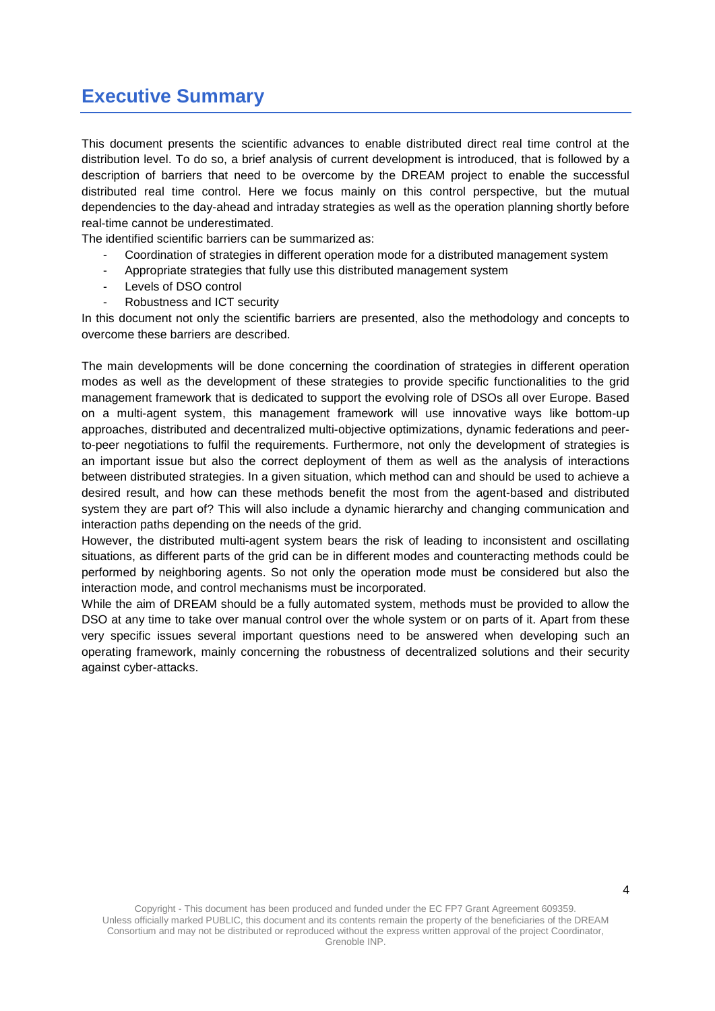# <span id="page-3-0"></span>**Executive Summary**

This document presents the scientific advances to enable distributed direct real time control at the distribution level. To do so, a brief analysis of current development is introduced, that is followed by a description of barriers that need to be overcome by the DREAM project to enable the successful distributed real time control. Here we focus mainly on this control perspective, but the mutual dependencies to the day-ahead and intraday strategies as well as the operation planning shortly before real-time cannot be underestimated.

The identified scientific barriers can be summarized as:

- Coordination of strategies in different operation mode for a distributed management system
- Appropriate strategies that fully use this distributed management system
- Levels of DSO control
- Robustness and ICT security

In this document not only the scientific barriers are presented, also the methodology and concepts to overcome these barriers are described.

The main developments will be done concerning the coordination of strategies in different operation modes as well as the development of these strategies to provide specific functionalities to the grid management framework that is dedicated to support the evolving role of DSOs all over Europe. Based on a multi-agent system, this management framework will use innovative ways like bottom-up approaches, distributed and decentralized multi-objective optimizations, dynamic federations and peerto-peer negotiations to fulfil the requirements. Furthermore, not only the development of strategies is an important issue but also the correct deployment of them as well as the analysis of interactions between distributed strategies. In a given situation, which method can and should be used to achieve a desired result, and how can these methods benefit the most from the agent-based and distributed system they are part of? This will also include a dynamic hierarchy and changing communication and interaction paths depending on the needs of the grid.

However, the distributed multi-agent system bears the risk of leading to inconsistent and oscillating situations, as different parts of the grid can be in different modes and counteracting methods could be performed by neighboring agents. So not only the operation mode must be considered but also the interaction mode, and control mechanisms must be incorporated.

While the aim of DREAM should be a fully automated system, methods must be provided to allow the DSO at any time to take over manual control over the whole system or on parts of it. Apart from these very specific issues several important questions need to be answered when developing such an operating framework, mainly concerning the robustness of decentralized solutions and their security against cyber-attacks.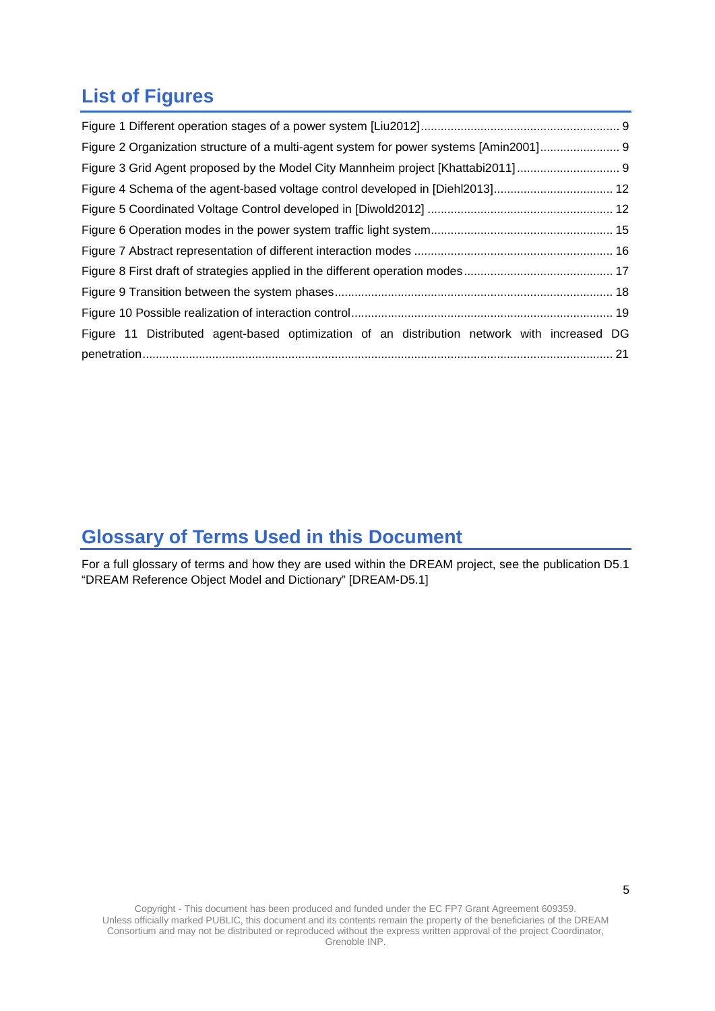# <span id="page-4-0"></span>**List of Figures**

| Figure 2 Organization structure of a multi-agent system for power systems [Amin2001]        |  |
|---------------------------------------------------------------------------------------------|--|
| Figure 3 Grid Agent proposed by the Model City Mannheim project [Khattabi2011] 9            |  |
| Figure 4 Schema of the agent-based voltage control developed in [Diehl2013] 12              |  |
|                                                                                             |  |
|                                                                                             |  |
|                                                                                             |  |
|                                                                                             |  |
|                                                                                             |  |
|                                                                                             |  |
| Figure 11 Distributed agent-based optimization of an distribution network with increased DG |  |
|                                                                                             |  |

# <span id="page-4-1"></span>**Glossary of Terms Used in this Document**

For a full glossary of terms and how they are used within the DREAM project, see the publication D5.1 "DREAM Reference Object Model and Dictionary" [DREAM-D5.1]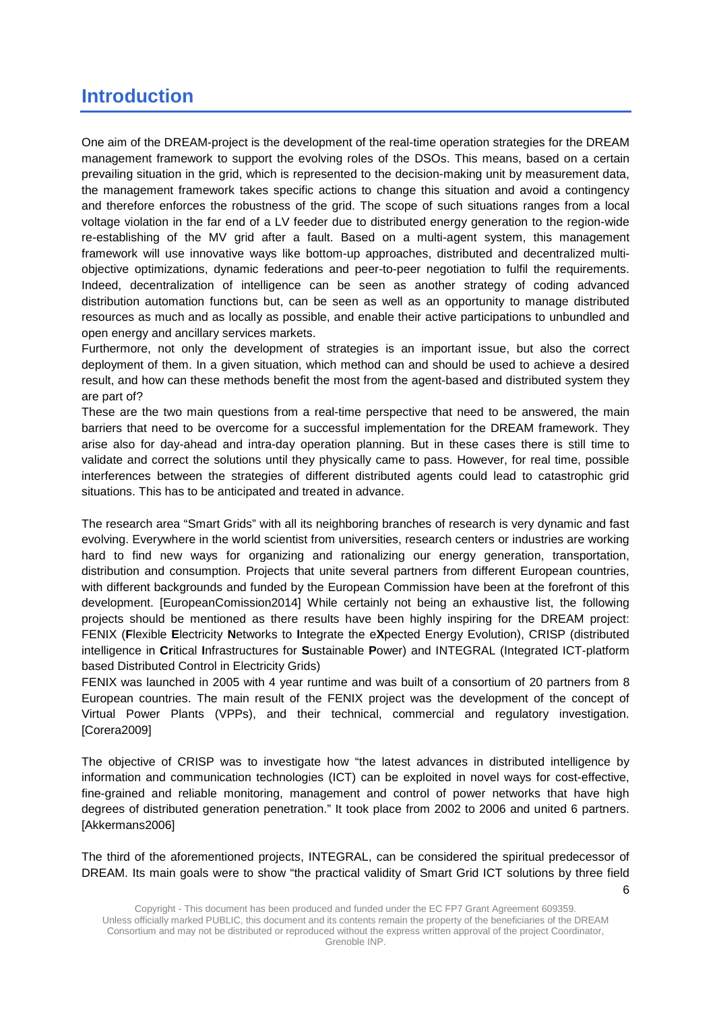## <span id="page-5-0"></span>**Introduction**

One aim of the DREAM-project is the development of the real-time operation strategies for the DREAM management framework to support the evolving roles of the DSOs. This means, based on a certain prevailing situation in the grid, which is represented to the decision-making unit by measurement data, the management framework takes specific actions to change this situation and avoid a contingency and therefore enforces the robustness of the grid. The scope of such situations ranges from a local voltage violation in the far end of a LV feeder due to distributed energy generation to the region-wide re-establishing of the MV grid after a fault. Based on a multi-agent system, this management framework will use innovative ways like bottom-up approaches, distributed and decentralized multiobjective optimizations, dynamic federations and peer-to-peer negotiation to fulfil the requirements. Indeed, decentralization of intelligence can be seen as another strategy of coding advanced distribution automation functions but, can be seen as well as an opportunity to manage distributed resources as much and as locally as possible, and enable their active participations to unbundled and open energy and ancillary services markets.

Furthermore, not only the development of strategies is an important issue, but also the correct deployment of them. In a given situation, which method can and should be used to achieve a desired result, and how can these methods benefit the most from the agent-based and distributed system they are part of?

These are the two main questions from a real-time perspective that need to be answered, the main barriers that need to be overcome for a successful implementation for the DREAM framework. They arise also for day-ahead and intra-day operation planning. But in these cases there is still time to validate and correct the solutions until they physically came to pass. However, for real time, possible interferences between the strategies of different distributed agents could lead to catastrophic grid situations. This has to be anticipated and treated in advance.

The research area "Smart Grids" with all its neighboring branches of research is very dynamic and fast evolving. Everywhere in the world scientist from universities, research centers or industries are working hard to find new ways for organizing and rationalizing our energy generation, transportation, distribution and consumption. Projects that unite several partners from different European countries, with different backgrounds and funded by the European Commission have been at the forefront of this development. [EuropeanComission2014] While certainly not being an exhaustive list, the following projects should be mentioned as there results have been highly inspiring for the DREAM project: FENIX (**F**lexible **E**lectricity **N**etworks to **I**ntegrate the e**X**pected Energy Evolution), CRISP (distributed intelligence in **Cr**itical **I**nfrastructures for **S**ustainable **P**ower) and INTEGRAL (Integrated ICT-platform based Distributed Control in Electricity Grids)

FENIX was launched in 2005 with 4 year runtime and was built of a consortium of 20 partners from 8 European countries. The main result of the FENIX project was the development of the concept of Virtual Power Plants (VPPs), and their technical, commercial and regulatory investigation. [Corera2009]

The objective of CRISP was to investigate how "the latest advances in distributed intelligence by information and communication technologies (ICT) can be exploited in novel ways for cost-effective, fine-grained and reliable monitoring, management and control of power networks that have high degrees of distributed generation penetration." It took place from 2002 to 2006 and united 6 partners. [Akkermans2006]

The third of the aforementioned projects, INTEGRAL, can be considered the spiritual predecessor of DREAM. Its main goals were to show "the practical validity of Smart Grid ICT solutions by three field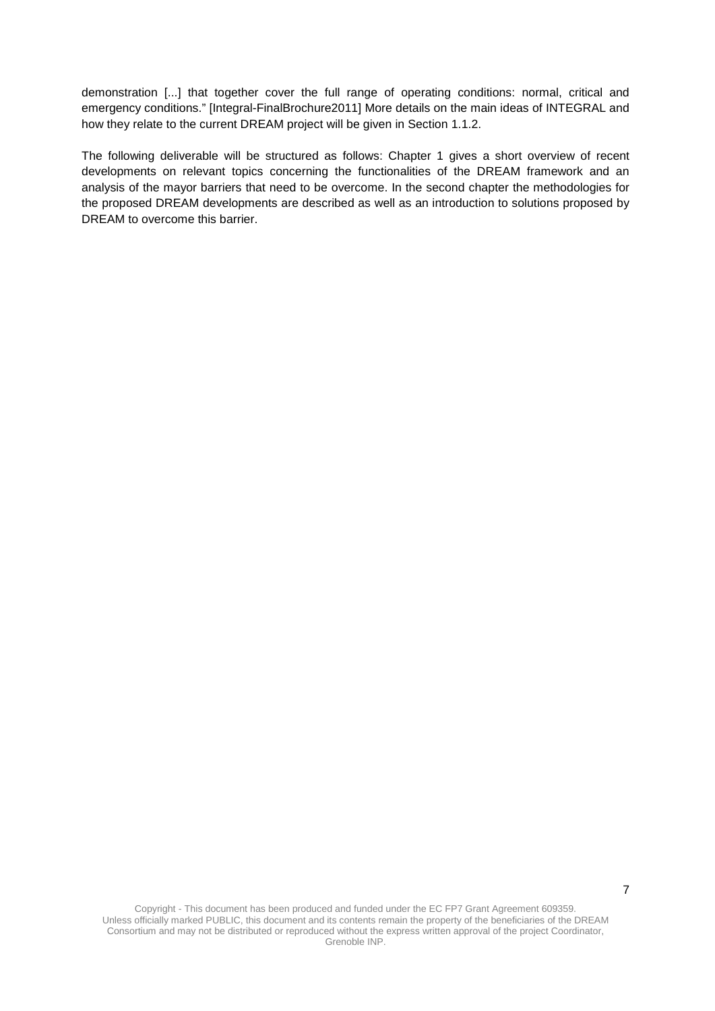demonstration [...] that together cover the full range of operating conditions: normal, critical and emergency conditions." [Integral-FinalBrochure2011] More details on the main ideas of INTEGRAL and how they relate to the current DREAM project will be given in Section [1.1.2.](#page-9-0)

The following deliverable will be structured as follows: Chapter 1 gives a short overview of recent developments on relevant topics concerning the functionalities of the DREAM framework and an analysis of the mayor barriers that need to be overcome. In the second chapter the methodologies for the proposed DREAM developments are described as well as an introduction to solutions proposed by DREAM to overcome this barrier.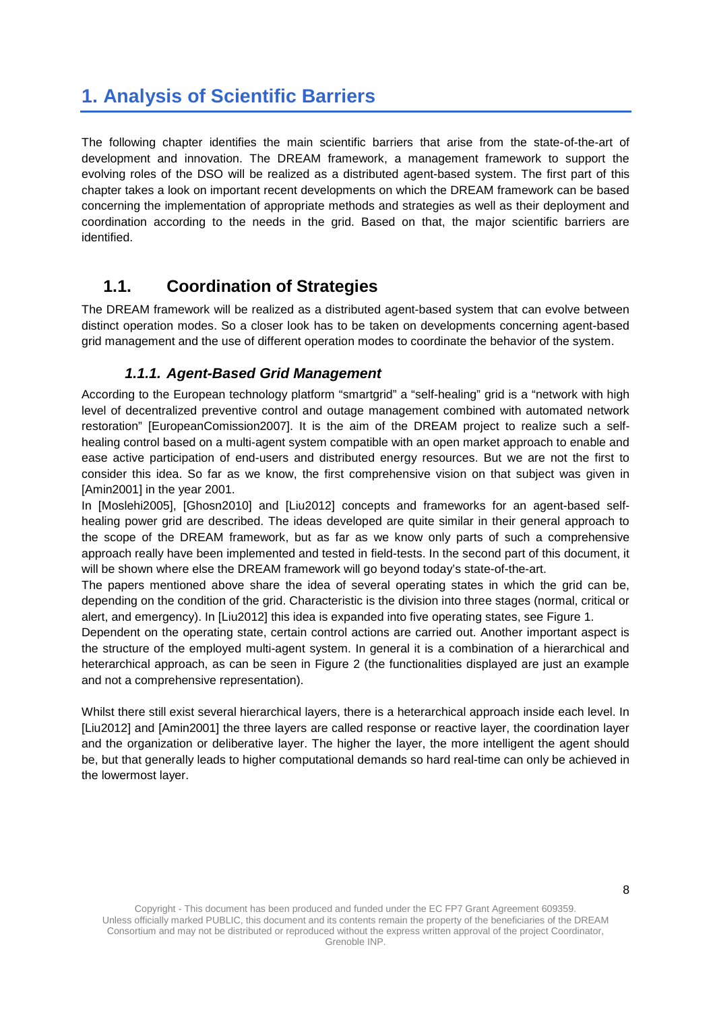# <span id="page-7-0"></span>**1. Analysis of Scientific Barriers**

The following chapter identifies the main scientific barriers that arise from the state-of-the-art of development and innovation. The DREAM framework, a management framework to support the evolving roles of the DSO will be realized as a distributed agent-based system. The first part of this chapter takes a look on important recent developments on which the DREAM framework can be based concerning the implementation of appropriate methods and strategies as well as their deployment and coordination according to the needs in the grid. Based on that, the major scientific barriers are identified.

### <span id="page-7-1"></span>**1.1. Coordination of Strategies**

The DREAM framework will be realized as a distributed agent-based system that can evolve between distinct operation modes. So a closer look has to be taken on developments concerning agent-based grid management and the use of different operation modes to coordinate the behavior of the system.

### *1.1.1. Agent-Based Grid Management*

<span id="page-7-2"></span>According to the European technology platform "smartgrid" a "self-healing" grid is a "network with high level of decentralized preventive control and outage management combined with automated network restoration" [EuropeanComission2007]. It is the aim of the DREAM project to realize such a selfhealing control based on a multi-agent system compatible with an open market approach to enable and ease active participation of end-users and distributed energy resources. But we are not the first to consider this idea. So far as we know, the first comprehensive vision on that subject was given in [Amin2001] in the year 2001.

In [Moslehi2005], [Ghosn2010] and [Liu2012] concepts and frameworks for an agent-based selfhealing power grid are described. The ideas developed are quite similar in their general approach to the scope of the DREAM framework, but as far as we know only parts of such a comprehensive approach really have been implemented and tested in field-tests. In the second part of this document, it will be shown where else the DREAM framework will go beyond today's state-of-the-art.

The papers mentioned above share the idea of several operating states in which the grid can be, depending on the condition of the grid. Characteristic is the division into three stages (normal, critical or alert, and emergency). In [Liu2012] this idea is expanded into five operating states, see [Figure 1.](#page-8-0)

Dependent on the operating state, certain control actions are carried out. Another important aspect is the structure of the employed multi-agent system. In general it is a combination of a hierarchical and heterarchical approach, as can be seen in [Figure 2](#page-8-1) (the functionalities displayed are just an example and not a comprehensive representation).

Whilst there still exist several hierarchical layers, there is a heterarchical approach inside each level. In [Liu2012] and [Amin2001] the three layers are called response or reactive layer, the coordination layer and the organization or deliberative layer. The higher the layer, the more intelligent the agent should be, but that generally leads to higher computational demands so hard real-time can only be achieved in the lowermost layer.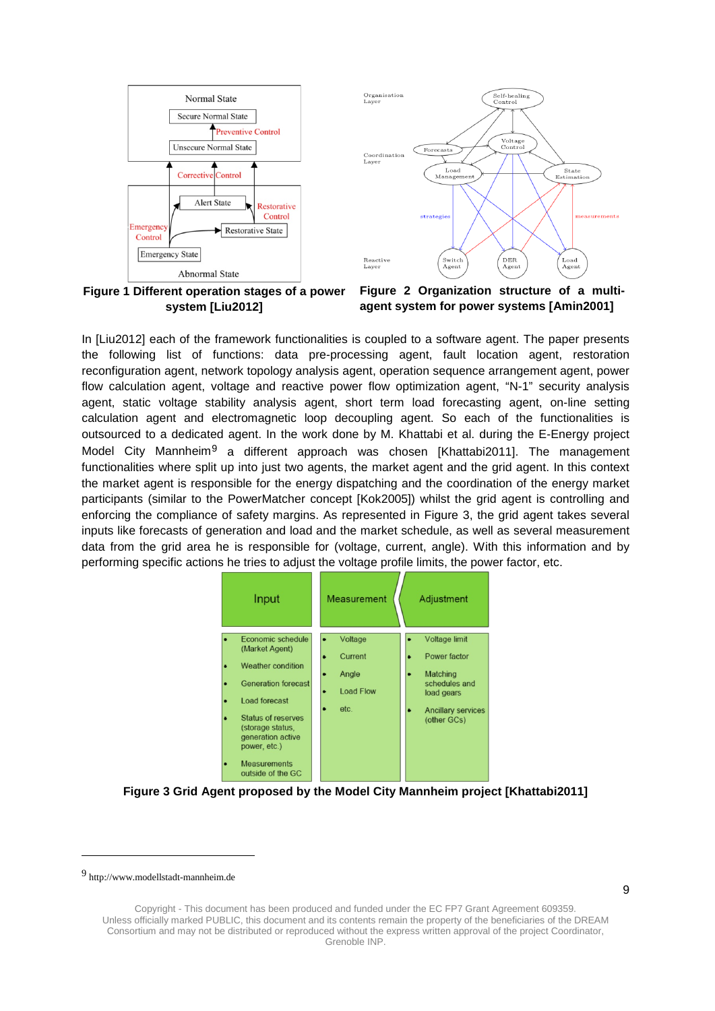

<span id="page-8-0"></span>**Figure 1 Different operation stages of a power system [Liu2012]**

<span id="page-8-1"></span>**Figure 2 Organization structure of a multiagent system for power systems [Amin2001]**

In [Liu2012] each of the framework functionalities is coupled to a software agent. The paper presents the following list of functions: data pre-processing agent, fault location agent, restoration reconfiguration agent, network topology analysis agent, operation sequence arrangement agent, power flow calculation agent, voltage and reactive power flow optimization agent, "N-1" security analysis agent, static voltage stability analysis agent, short term load forecasting agent, on-line setting calculation agent and electromagnetic loop decoupling agent. So each of the functionalities is outsourced to a dedicated agent. In the work done by M. Khattabi et al. during the E-Energy project Model City Mannheim<sup>[9](#page-8-3)</sup> a different approach was chosen [Khattabi2011]. The management functionalities where split up into just two agents, the market agent and the grid agent. In this context the market agent is responsible for the energy dispatching and the coordination of the energy market participants (similar to the PowerMatcher concept [Kok2005]) whilst the grid agent is controlling and enforcing the compliance of safety margins. As represented in [Figure 3,](#page-8-2) the grid agent takes several inputs like forecasts of generation and load and the market schedule, as well as several measurement data from the grid area he is responsible for (voltage, current, angle). With this information and by performing specific actions he tries to adjust the voltage profile limits, the power factor, etc.



<span id="page-8-2"></span>**Figure 3 Grid Agent proposed by the Model City Mannheim project [Khattabi2011]**

j

<span id="page-8-3"></span><sup>9</sup> http://www.modellstadt-mannheim.de

Copyright - This document has been produced and funded under the EC FP7 Grant Agreement 609359. Unless officially marked PUBLIC, this document and its contents remain the property of the beneficiaries of the DREAM Consortium and may not be distributed or reproduced without the express written approval of the project Coordinator, Grenoble INP.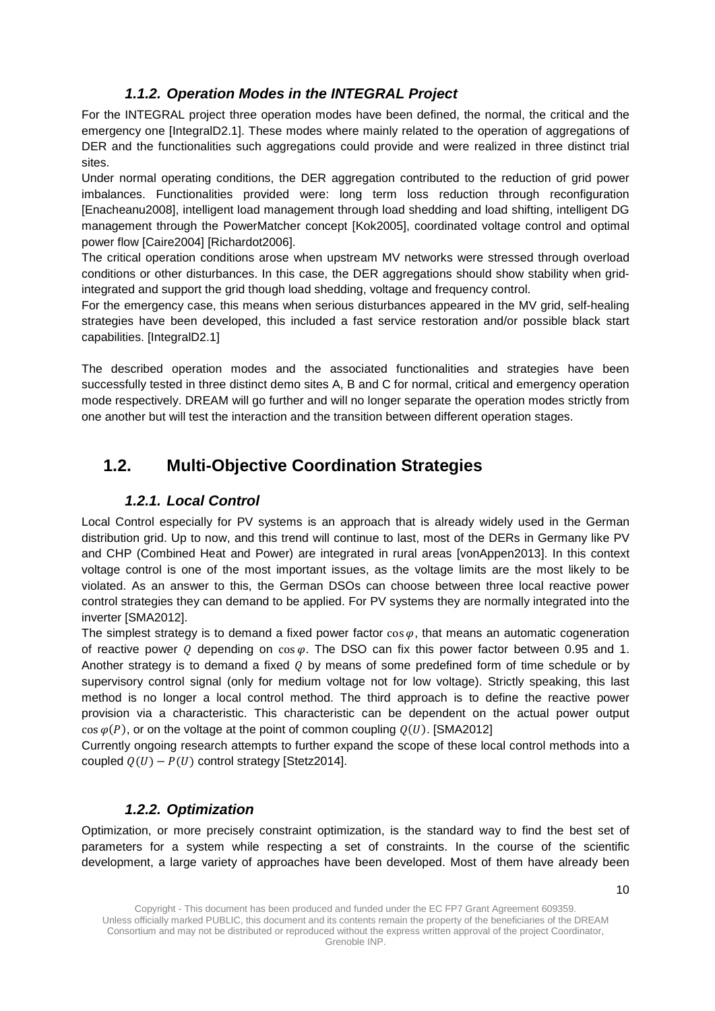### *1.1.2. Operation Modes in the INTEGRAL Project*

<span id="page-9-0"></span>For the INTEGRAL project three operation modes have been defined, the normal, the critical and the emergency one [IntegralD2.1]. These modes where mainly related to the operation of aggregations of DER and the functionalities such aggregations could provide and were realized in three distinct trial sites.

Under normal operating conditions, the DER aggregation contributed to the reduction of grid power imbalances. Functionalities provided were: long term loss reduction through reconfiguration [Enacheanu2008], intelligent load management through load shedding and load shifting, intelligent DG management through the PowerMatcher concept [Kok2005], coordinated voltage control and optimal power flow [Caire2004] [Richardot2006].

The critical operation conditions arose when upstream MV networks were stressed through overload conditions or other disturbances. In this case, the DER aggregations should show stability when gridintegrated and support the grid though load shedding, voltage and frequency control.

For the emergency case, this means when serious disturbances appeared in the MV grid, self-healing strategies have been developed, this included a fast service restoration and/or possible black start capabilities. [IntegralD2.1]

The described operation modes and the associated functionalities and strategies have been successfully tested in three distinct demo sites A, B and C for normal, critical and emergency operation mode respectively. DREAM will go further and will no longer separate the operation modes strictly from one another but will test the interaction and the transition between different operation stages.

### <span id="page-9-2"></span><span id="page-9-1"></span>**1.2. Multi-Objective Coordination Strategies**

#### *1.2.1. Local Control*

Local Control especially for PV systems is an approach that is already widely used in the German distribution grid. Up to now, and this trend will continue to last, most of the DERs in Germany like PV and CHP (Combined Heat and Power) are integrated in rural areas [vonAppen2013]. In this context voltage control is one of the most important issues, as the voltage limits are the most likely to be violated. As an answer to this, the German DSOs can choose between three local reactive power control strategies they can demand to be applied. For PV systems they are normally integrated into the inverter [SMA2012].

The simplest strategy is to demand a fixed power factor  $\cos \varphi$ , that means an automatic cogeneration of reactive power Q depending on  $\cos \varphi$ . The DSO can fix this power factor between 0.95 and 1. Another strategy is to demand a fixed  $\ddot{o}$  by means of some predefined form of time schedule or by supervisory control signal (only for medium voltage not for low voltage). Strictly speaking, this last method is no longer a local control method. The third approach is to define the reactive power provision via a characteristic. This characteristic can be dependent on the actual power output  $cos \varphi(P)$ , or on the voltage at the point of common coupling  $O(U)$ . [SMA2012]

Currently ongoing research attempts to further expand the scope of these local control methods into a coupled  $Q(U) - P(U)$  control strategy [Stetz2014].

#### *1.2.2. Optimization*

<span id="page-9-3"></span>Optimization, or more precisely constraint optimization, is the standard way to find the best set of parameters for a system while respecting a set of constraints. In the course of the scientific development, a large variety of approaches have been developed. Most of them have already been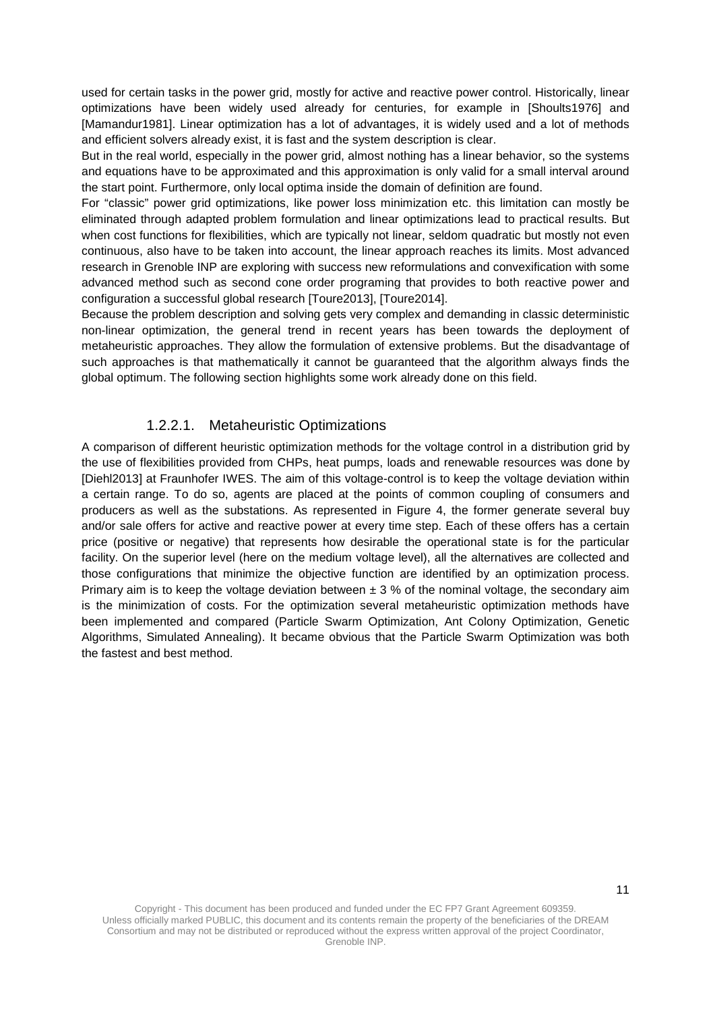used for certain tasks in the power grid, mostly for active and reactive power control. Historically, linear optimizations have been widely used already for centuries, for example in [Shoults1976] and [Mamandur1981]. Linear optimization has a lot of advantages, it is widely used and a lot of methods and efficient solvers already exist, it is fast and the system description is clear.

But in the real world, especially in the power grid, almost nothing has a linear behavior, so the systems and equations have to be approximated and this approximation is only valid for a small interval around the start point. Furthermore, only local optima inside the domain of definition are found.

For "classic" power grid optimizations, like power loss minimization etc. this limitation can mostly be eliminated through adapted problem formulation and linear optimizations lead to practical results. But when cost functions for flexibilities, which are typically not linear, seldom quadratic but mostly not even continuous, also have to be taken into account, the linear approach reaches its limits. Most advanced research in Grenoble INP are exploring with success new reformulations and convexification with some advanced method such as second cone order programing that provides to both reactive power and configuration a successful global research [Toure2013], [Toure2014].

Because the problem description and solving gets very complex and demanding in classic deterministic non-linear optimization, the general trend in recent years has been towards the deployment of metaheuristic approaches. They allow the formulation of extensive problems. But the disadvantage of such approaches is that mathematically it cannot be guaranteed that the algorithm always finds the global optimum. The following section highlights some work already done on this field.

#### 1.2.2.1. Metaheuristic Optimizations

<span id="page-10-0"></span>A comparison of different heuristic optimization methods for the voltage control in a distribution grid by the use of flexibilities provided from CHPs, heat pumps, loads and renewable resources was done by [Diehl2013] at Fraunhofer IWES. The aim of this voltage-control is to keep the voltage deviation within a certain range. To do so, agents are placed at the points of common coupling of consumers and producers as well as the substations. As represented in [Figure 4,](#page-11-1) the former generate several buy and/or sale offers for active and reactive power at every time step. Each of these offers has a certain price (positive or negative) that represents how desirable the operational state is for the particular facility. On the superior level (here on the medium voltage level), all the alternatives are collected and those configurations that minimize the objective function are identified by an optimization process. Primary aim is to keep the voltage deviation between  $\pm$  3 % of the nominal voltage, the secondary aim is the minimization of costs. For the optimization several metaheuristic optimization methods have been implemented and compared (Particle Swarm Optimization, Ant Colony Optimization, Genetic Algorithms, Simulated Annealing). It became obvious that the Particle Swarm Optimization was both the fastest and best method.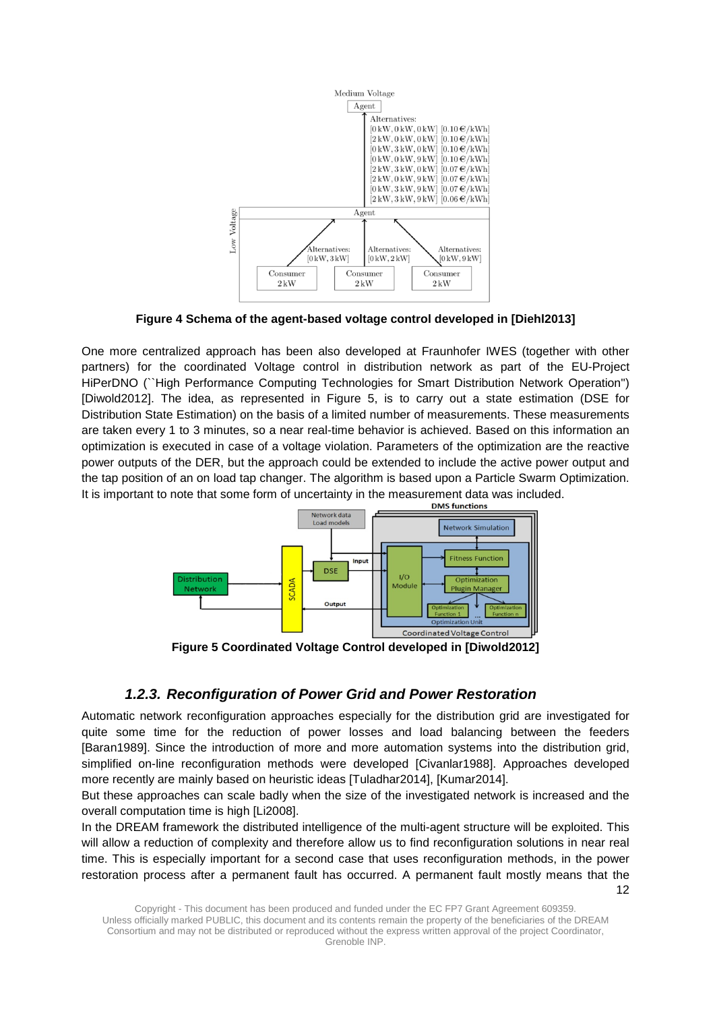

**Figure 4 Schema of the agent-based voltage control developed in [Diehl2013]**

<span id="page-11-1"></span>One more centralized approach has been also developed at Fraunhofer IWES (together with other partners) for the coordinated Voltage control in distribution network as part of the EU-Project HiPerDNO (``High Performance Computing Technologies for Smart Distribution Network Operation'') [Diwold2012]. The idea, as represented in [Figure 5,](#page-11-2) is to carry out a state estimation (DSE for Distribution State Estimation) on the basis of a limited number of measurements. These measurements are taken every 1 to 3 minutes, so a near real-time behavior is achieved. Based on this information an optimization is executed in case of a voltage violation. Parameters of the optimization are the reactive power outputs of the DER, but the approach could be extended to include the active power output and the tap position of an on load tap changer. The algorithm is based upon a Particle Swarm Optimization. It is important to note that some form of uncertainty in the measurement data was included.



**Figure 5 Coordinated Voltage Control developed in [Diwold2012]**

### <span id="page-11-2"></span>*1.2.3. Reconfiguration of Power Grid and Power Restoration*

<span id="page-11-0"></span>Automatic network reconfiguration approaches especially for the distribution grid are investigated for quite some time for the reduction of power losses and load balancing between the feeders [Baran1989]. Since the introduction of more and more automation systems into the distribution grid, simplified on-line reconfiguration methods were developed [Civanlar1988]. Approaches developed more recently are mainly based on heuristic ideas [Tuladhar2014], [Kumar2014].

But these approaches can scale badly when the size of the investigated network is increased and the overall computation time is high [Li2008].

12 In the DREAM framework the distributed intelligence of the multi-agent structure will be exploited. This will allow a reduction of complexity and therefore allow us to find reconfiguration solutions in near real time. This is especially important for a second case that uses reconfiguration methods, in the power restoration process after a permanent fault has occurred. A permanent fault mostly means that the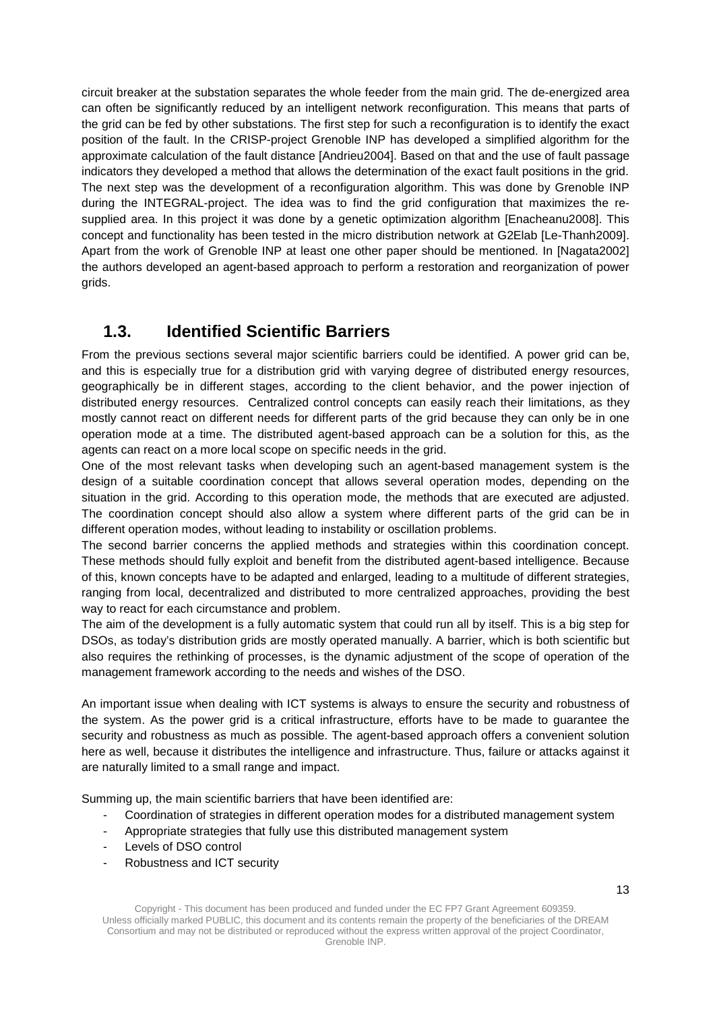circuit breaker at the substation separates the whole feeder from the main grid. The de-energized area can often be significantly reduced by an intelligent network reconfiguration. This means that parts of the grid can be fed by other substations. The first step for such a reconfiguration is to identify the exact position of the fault. In the CRISP-project Grenoble INP has developed a simplified algorithm for the approximate calculation of the fault distance [Andrieu2004]. Based on that and the use of fault passage indicators they developed a method that allows the determination of the exact fault positions in the grid. The next step was the development of a reconfiguration algorithm. This was done by Grenoble INP during the INTEGRAL-project. The idea was to find the grid configuration that maximizes the resupplied area. In this project it was done by a genetic optimization algorithm [Enacheanu2008]. This concept and functionality has been tested in the micro distribution network at G2Elab [Le-Thanh2009]. Apart from the work of Grenoble INP at least one other paper should be mentioned. In [Nagata2002] the authors developed an agent-based approach to perform a restoration and reorganization of power grids.

### <span id="page-12-0"></span>**1.3. Identified Scientific Barriers**

From the previous sections several major scientific barriers could be identified. A power grid can be, and this is especially true for a distribution grid with varying degree of distributed energy resources, geographically be in different stages, according to the client behavior, and the power injection of distributed energy resources. Centralized control concepts can easily reach their limitations, as they mostly cannot react on different needs for different parts of the grid because they can only be in one operation mode at a time. The distributed agent-based approach can be a solution for this, as the agents can react on a more local scope on specific needs in the grid.

One of the most relevant tasks when developing such an agent-based management system is the design of a suitable coordination concept that allows several operation modes, depending on the situation in the grid. According to this operation mode, the methods that are executed are adjusted. The coordination concept should also allow a system where different parts of the grid can be in different operation modes, without leading to instability or oscillation problems.

The second barrier concerns the applied methods and strategies within this coordination concept. These methods should fully exploit and benefit from the distributed agent-based intelligence. Because of this, known concepts have to be adapted and enlarged, leading to a multitude of different strategies, ranging from local, decentralized and distributed to more centralized approaches, providing the best way to react for each circumstance and problem.

The aim of the development is a fully automatic system that could run all by itself. This is a big step for DSOs, as today's distribution grids are mostly operated manually. A barrier, which is both scientific but also requires the rethinking of processes, is the dynamic adjustment of the scope of operation of the management framework according to the needs and wishes of the DSO.

An important issue when dealing with ICT systems is always to ensure the security and robustness of the system. As the power grid is a critical infrastructure, efforts have to be made to guarantee the security and robustness as much as possible. The agent-based approach offers a convenient solution here as well, because it distributes the intelligence and infrastructure. Thus, failure or attacks against it are naturally limited to a small range and impact.

Summing up, the main scientific barriers that have been identified are:

- Coordination of strategies in different operation modes for a distributed management system
- Appropriate strategies that fully use this distributed management system
- Levels of DSO control
- Robustness and ICT security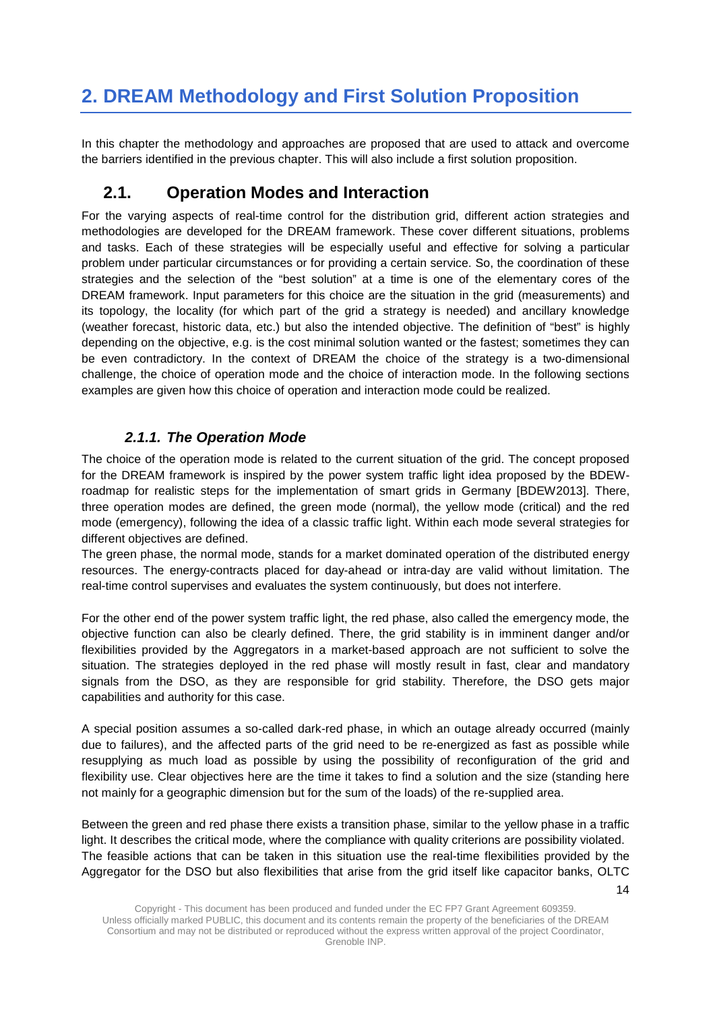# <span id="page-13-0"></span>**2. DREAM Methodology and First Solution Proposition**

In this chapter the methodology and approaches are proposed that are used to attack and overcome the barriers identified in the previous chapter. This will also include a first solution proposition.

### <span id="page-13-1"></span>**2.1. Operation Modes and Interaction**

For the varying aspects of real-time control for the distribution grid, different action strategies and methodologies are developed for the DREAM framework. These cover different situations, problems and tasks. Each of these strategies will be especially useful and effective for solving a particular problem under particular circumstances or for providing a certain service. So, the coordination of these strategies and the selection of the "best solution" at a time is one of the elementary cores of the DREAM framework. Input parameters for this choice are the situation in the grid (measurements) and its topology, the locality (for which part of the grid a strategy is needed) and ancillary knowledge (weather forecast, historic data, etc.) but also the intended objective. The definition of "best" is highly depending on the objective, e.g. is the cost minimal solution wanted or the fastest; sometimes they can be even contradictory. In the context of DREAM the choice of the strategy is a two-dimensional challenge, the choice of operation mode and the choice of interaction mode. In the following sections examples are given how this choice of operation and interaction mode could be realized.

#### *2.1.1. The Operation Mode*

<span id="page-13-2"></span>The choice of the operation mode is related to the current situation of the grid. The concept proposed for the DREAM framework is inspired by the power system traffic light idea proposed by the BDEWroadmap for realistic steps for the implementation of smart grids in Germany [BDEW2013]. There, three operation modes are defined, the green mode (normal), the yellow mode (critical) and the red mode (emergency), following the idea of a classic traffic light. Within each mode several strategies for different objectives are defined.

The green phase, the normal mode, stands for a market dominated operation of the distributed energy resources. The energy-contracts placed for day-ahead or intra-day are valid without limitation. The real-time control supervises and evaluates the system continuously, but does not interfere.

For the other end of the power system traffic light, the red phase, also called the emergency mode, the objective function can also be clearly defined. There, the grid stability is in imminent danger and/or flexibilities provided by the Aggregators in a market-based approach are not sufficient to solve the situation. The strategies deployed in the red phase will mostly result in fast, clear and mandatory signals from the DSO, as they are responsible for grid stability. Therefore, the DSO gets major capabilities and authority for this case.

A special position assumes a so-called dark-red phase, in which an outage already occurred (mainly due to failures), and the affected parts of the grid need to be re-energized as fast as possible while resupplying as much load as possible by using the possibility of reconfiguration of the grid and flexibility use. Clear objectives here are the time it takes to find a solution and the size (standing here not mainly for a geographic dimension but for the sum of the loads) of the re-supplied area.

Between the green and red phase there exists a transition phase, similar to the yellow phase in a traffic light. It describes the critical mode, where the compliance with quality criterions are possibility violated. The feasible actions that can be taken in this situation use the real-time flexibilities provided by the Aggregator for the DSO but also flexibilities that arise from the grid itself like capacitor banks, OLTC

14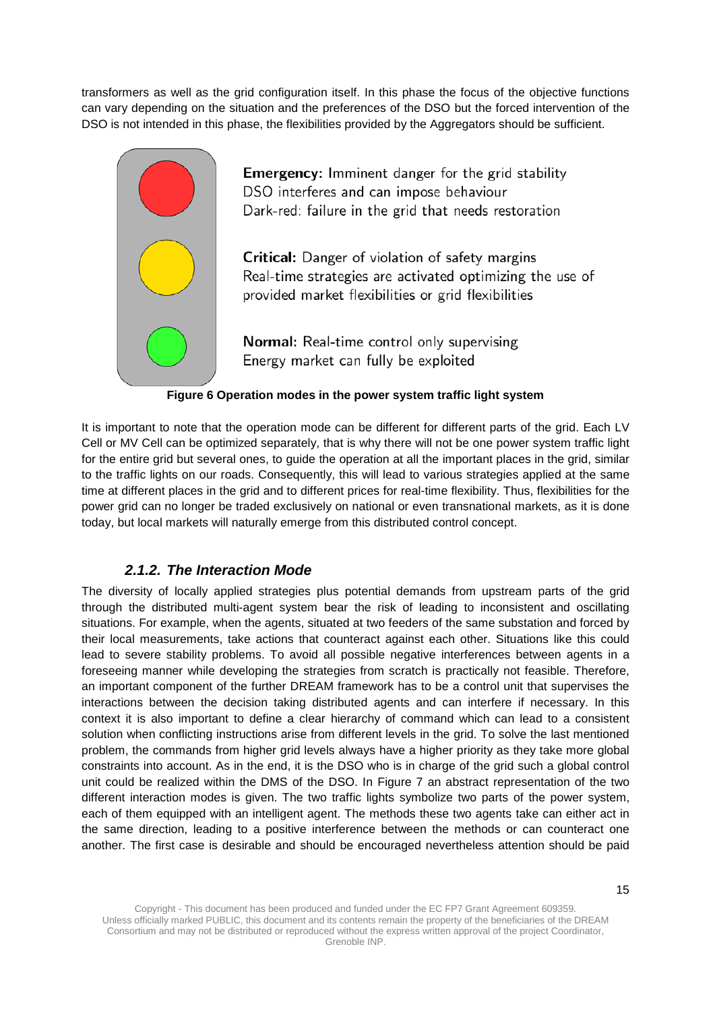transformers as well as the grid configuration itself. In this phase the focus of the objective functions can vary depending on the situation and the preferences of the DSO but the forced intervention of the DSO is not intended in this phase, the flexibilities provided by the Aggregators should be sufficient.



**Emergency:** Imminent danger for the grid stability DSO interferes and can impose behaviour Dark-red: failure in the grid that needs restoration

Critical: Danger of violation of safety margins Real-time strategies are activated optimizing the use of provided market flexibilities or grid flexibilities

Normal: Real-time control only supervising Energy market can fully be exploited

#### **Figure 6 Operation modes in the power system traffic light system**

<span id="page-14-1"></span>It is important to note that the operation mode can be different for different parts of the grid. Each LV Cell or MV Cell can be optimized separately, that is why there will not be one power system traffic light for the entire grid but several ones, to guide the operation at all the important places in the grid, similar to the traffic lights on our roads. Consequently, this will lead to various strategies applied at the same time at different places in the grid and to different prices for real-time flexibility. Thus, flexibilities for the power grid can no longer be traded exclusively on national or even transnational markets, as it is done today, but local markets will naturally emerge from this distributed control concept.

#### *2.1.2. The Interaction Mode*

<span id="page-14-0"></span>The diversity of locally applied strategies plus potential demands from upstream parts of the grid through the distributed multi-agent system bear the risk of leading to inconsistent and oscillating situations. For example, when the agents, situated at two feeders of the same substation and forced by their local measurements, take actions that counteract against each other. Situations like this could lead to severe stability problems. To avoid all possible negative interferences between agents in a foreseeing manner while developing the strategies from scratch is practically not feasible. Therefore, an important component of the further DREAM framework has to be a control unit that supervises the interactions between the decision taking distributed agents and can interfere if necessary. In this context it is also important to define a clear hierarchy of command which can lead to a consistent solution when conflicting instructions arise from different levels in the grid. To solve the last mentioned problem, the commands from higher grid levels always have a higher priority as they take more global constraints into account. As in the end, it is the DSO who is in charge of the grid such a global control unit could be realized within the DMS of the DSO. In [Figure 7](#page-15-2) an abstract representation of the two different interaction modes is given. The two traffic lights symbolize two parts of the power system, each of them equipped with an intelligent agent. The methods these two agents take can either act in the same direction, leading to a positive interference between the methods or can counteract one another. The first case is desirable and should be encouraged nevertheless attention should be paid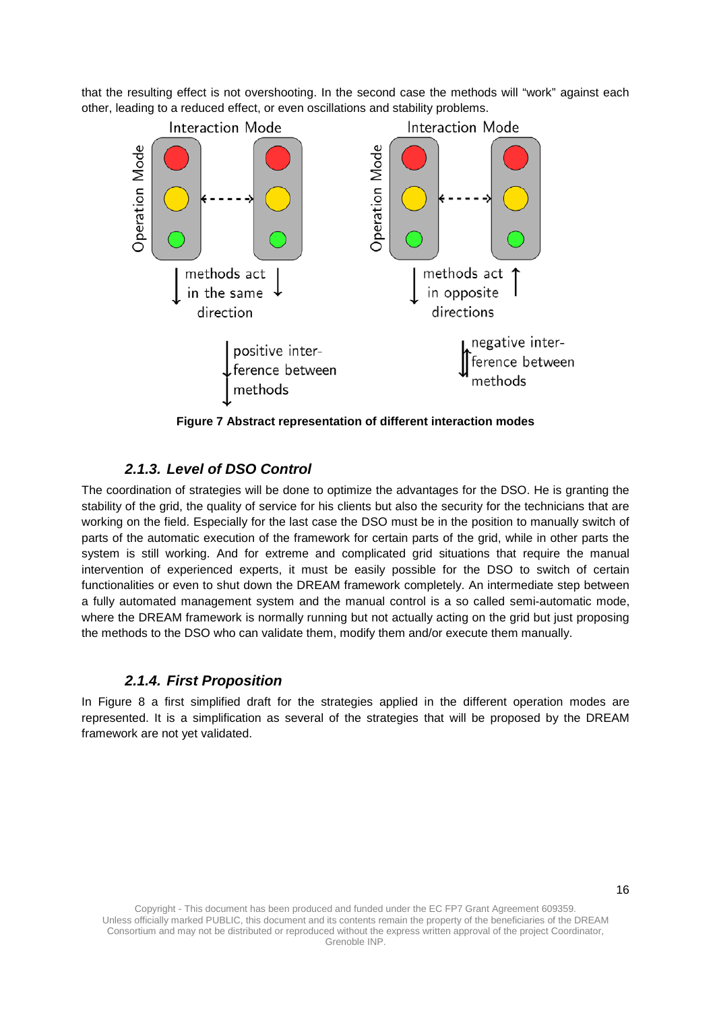that the resulting effect is not overshooting. In the second case the methods will "work" against each other, leading to a reduced effect, or even oscillations and stability problems.



**Figure 7 Abstract representation of different interaction modes**

### <span id="page-15-2"></span>*2.1.3. Level of DSO Control*

<span id="page-15-0"></span>The coordination of strategies will be done to optimize the advantages for the DSO. He is granting the stability of the grid, the quality of service for his clients but also the security for the technicians that are working on the field. Especially for the last case the DSO must be in the position to manually switch of parts of the automatic execution of the framework for certain parts of the grid, while in other parts the system is still working. And for extreme and complicated grid situations that require the manual intervention of experienced experts, it must be easily possible for the DSO to switch of certain functionalities or even to shut down the DREAM framework completely. An intermediate step between a fully automated management system and the manual control is a so called semi-automatic mode, where the DREAM framework is normally running but not actually acting on the grid but just proposing the methods to the DSO who can validate them, modify them and/or execute them manually.

#### *2.1.4. First Proposition*

<span id="page-15-1"></span>In [Figure 8](#page-16-0) a first simplified draft for the strategies applied in the different operation modes are represented. It is a simplification as several of the strategies that will be proposed by the DREAM framework are not yet validated.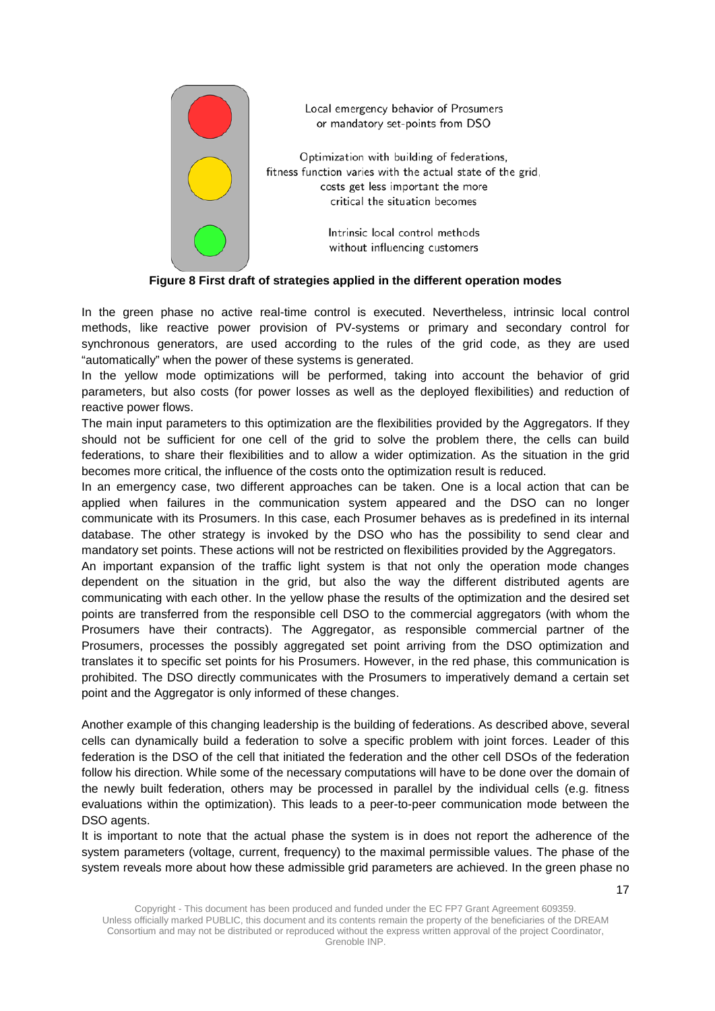

Local emergency behavior of Prosumers or mandatory set-points from DSO

Optimization with building of federations, fitness function varies with the actual state of the grid, costs get less important the more critical the situation becomes

> Intrinsic local control methods without influencing customers

#### **Figure 8 First draft of strategies applied in the different operation modes**

<span id="page-16-0"></span>In the green phase no active real-time control is executed. Nevertheless, intrinsic local control methods, like reactive power provision of PV-systems or primary and secondary control for synchronous generators, are used according to the rules of the grid code, as they are used "automatically" when the power of these systems is generated.

In the yellow mode optimizations will be performed, taking into account the behavior of grid parameters, but also costs (for power losses as well as the deployed flexibilities) and reduction of reactive power flows.

The main input parameters to this optimization are the flexibilities provided by the Aggregators. If they should not be sufficient for one cell of the grid to solve the problem there, the cells can build federations, to share their flexibilities and to allow a wider optimization. As the situation in the grid becomes more critical, the influence of the costs onto the optimization result is reduced.

In an emergency case, two different approaches can be taken. One is a local action that can be applied when failures in the communication system appeared and the DSO can no longer communicate with its Prosumers. In this case, each Prosumer behaves as is predefined in its internal database. The other strategy is invoked by the DSO who has the possibility to send clear and mandatory set points. These actions will not be restricted on flexibilities provided by the Aggregators.

An important expansion of the traffic light system is that not only the operation mode changes dependent on the situation in the grid, but also the way the different distributed agents are communicating with each other. In the yellow phase the results of the optimization and the desired set points are transferred from the responsible cell DSO to the commercial aggregators (with whom the Prosumers have their contracts). The Aggregator, as responsible commercial partner of the Prosumers, processes the possibly aggregated set point arriving from the DSO optimization and translates it to specific set points for his Prosumers. However, in the red phase, this communication is prohibited. The DSO directly communicates with the Prosumers to imperatively demand a certain set point and the Aggregator is only informed of these changes.

Another example of this changing leadership is the building of federations. As described above, several cells can dynamically build a federation to solve a specific problem with joint forces. Leader of this federation is the DSO of the cell that initiated the federation and the other cell DSOs of the federation follow his direction. While some of the necessary computations will have to be done over the domain of the newly built federation, others may be processed in parallel by the individual cells (e.g. fitness evaluations within the optimization). This leads to a peer-to-peer communication mode between the DSO agents.

It is important to note that the actual phase the system is in does not report the adherence of the system parameters (voltage, current, frequency) to the maximal permissible values. The phase of the system reveals more about how these admissible grid parameters are achieved. In the green phase no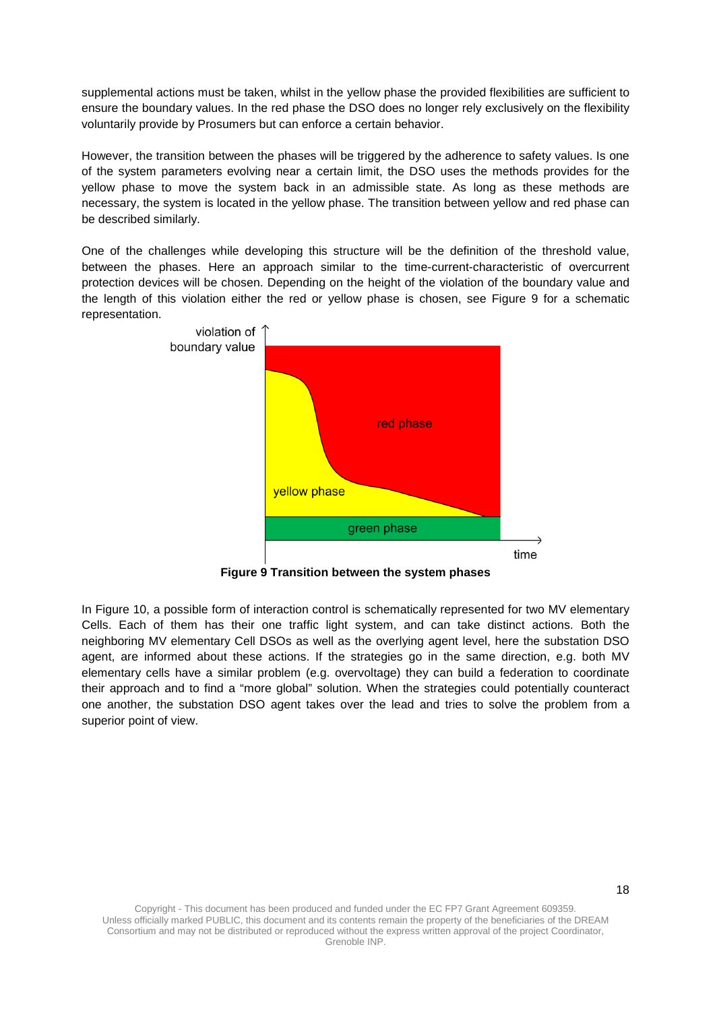supplemental actions must be taken, whilst in the yellow phase the provided flexibilities are sufficient to ensure the boundary values. In the red phase the DSO does no longer rely exclusively on the flexibility voluntarily provide by Prosumers but can enforce a certain behavior.

However, the transition between the phases will be triggered by the adherence to safety values. Is one of the system parameters evolving near a certain limit, the DSO uses the methods provides for the yellow phase to move the system back in an admissible state. As long as these methods are necessary, the system is located in the yellow phase. The transition between yellow and red phase can be described similarly.

One of the challenges while developing this structure will be the definition of the threshold value, between the phases. Here an approach similar to the time-current-characteristic of overcurrent protection devices will be chosen. Depending on the height of the violation of the boundary value and the length of this violation either the red or yellow phase is chosen, see [Figure 9](#page-17-0) for a schematic representation.



**Figure 9 Transition between the system phases**

<span id="page-17-0"></span>In [Figure 10,](#page-18-2) a possible form of interaction control is schematically represented for two MV elementary Cells. Each of them has their one traffic light system, and can take distinct actions. Both the neighboring MV elementary Cell DSOs as well as the overlying agent level, here the substation DSO agent, are informed about these actions. If the strategies go in the same direction, e.g. both MV elementary cells have a similar problem (e.g. overvoltage) they can build a federation to coordinate their approach and to find a "more global" solution. When the strategies could potentially counteract one another, the substation DSO agent takes over the lead and tries to solve the problem from a superior point of view.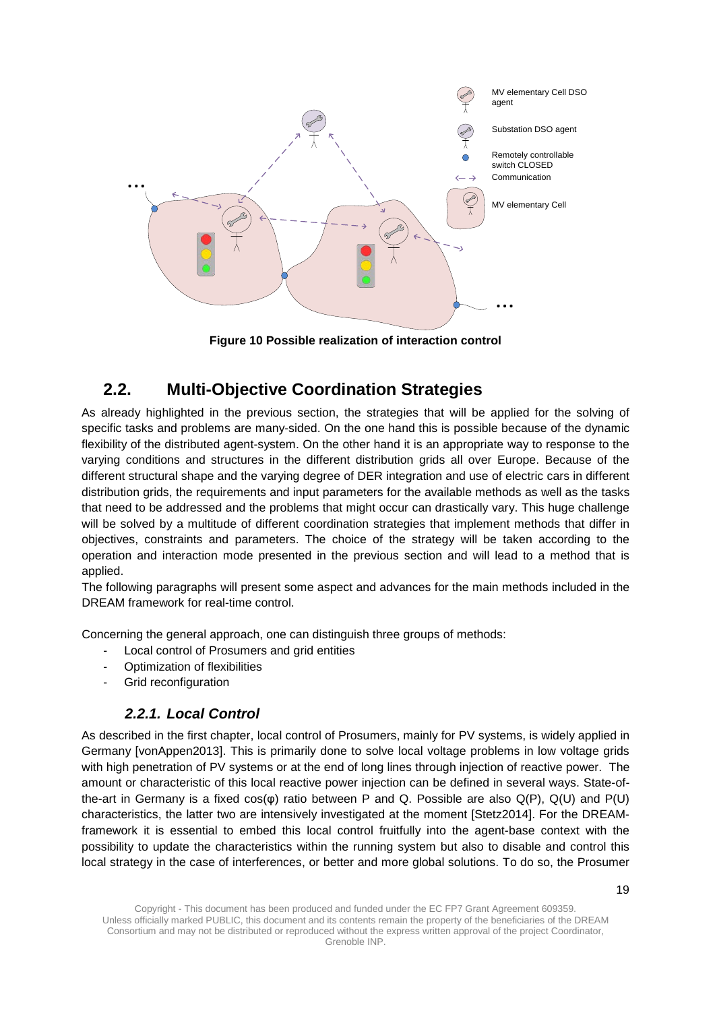

**Figure 10 Possible realization of interaction control**

## <span id="page-18-2"></span><span id="page-18-0"></span>**2.2. Multi-Objective Coordination Strategies**

As already highlighted in the previous section, the strategies that will be applied for the solving of specific tasks and problems are many-sided. On the one hand this is possible because of the dynamic flexibility of the distributed agent-system. On the other hand it is an appropriate way to response to the varying conditions and structures in the different distribution grids all over Europe. Because of the different structural shape and the varying degree of DER integration and use of electric cars in different distribution grids, the requirements and input parameters for the available methods as well as the tasks that need to be addressed and the problems that might occur can drastically vary. This huge challenge will be solved by a multitude of different coordination strategies that implement methods that differ in objectives, constraints and parameters. The choice of the strategy will be taken according to the operation and interaction mode presented in the previous section and will lead to a method that is applied.

The following paragraphs will present some aspect and advances for the main methods included in the DREAM framework for real-time control.

Concerning the general approach, one can distinguish three groups of methods:

- Local control of Prosumers and grid entities
- Optimization of flexibilities
- <span id="page-18-1"></span>- Grid reconfiguration

#### *2.2.1. Local Control*

As described in the first chapter, local control of Prosumers, mainly for PV systems, is widely applied in Germany [vonAppen2013]. This is primarily done to solve local voltage problems in low voltage grids with high penetration of PV systems or at the end of long lines through injection of reactive power. The amount or characteristic of this local reactive power injection can be defined in several ways. State-ofthe-art in Germany is a fixed cos(φ) ratio between P and Q. Possible are also Q(P), Q(U) and P(U) characteristics, the latter two are intensively investigated at the moment [Stetz2014]. For the DREAMframework it is essential to embed this local control fruitfully into the agent-base context with the possibility to update the characteristics within the running system but also to disable and control this local strategy in the case of interferences, or better and more global solutions. To do so, the Prosumer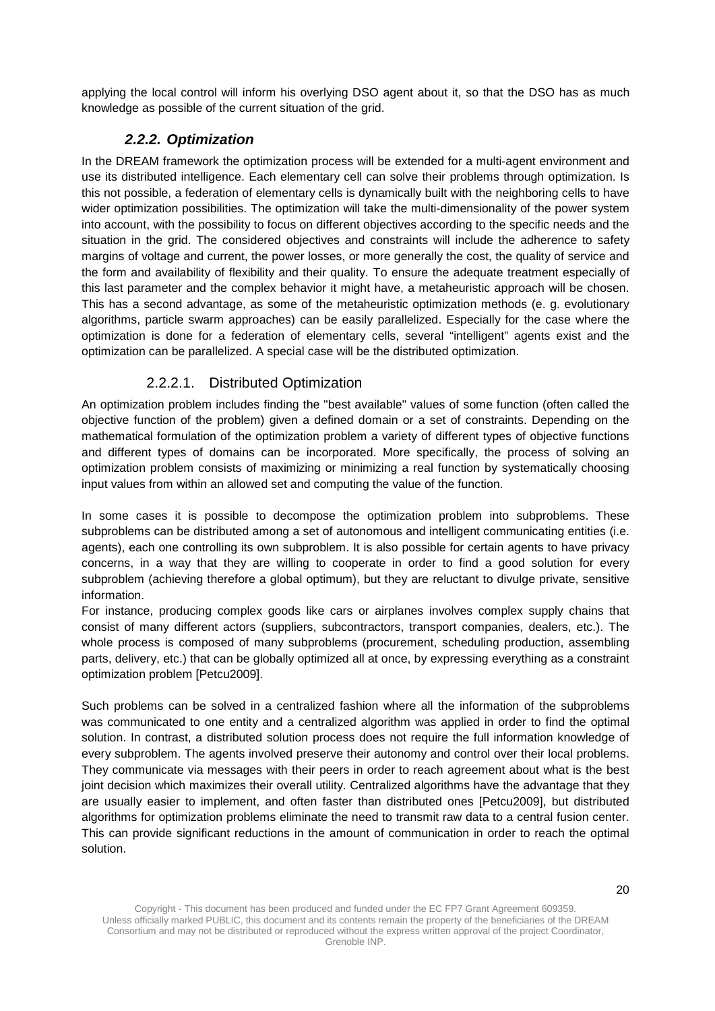<span id="page-19-1"></span>applying the local control will inform his overlying DSO agent about it, so that the DSO has as much knowledge as possible of the current situation of the grid.

### *2.2.2. Optimization*

In the DREAM framework the optimization process will be extended for a multi-agent environment and use its distributed intelligence. Each elementary cell can solve their problems through optimization. Is this not possible, a federation of elementary cells is dynamically built with the neighboring cells to have wider optimization possibilities. The optimization will take the multi-dimensionality of the power system into account, with the possibility to focus on different objectives according to the specific needs and the situation in the grid. The considered objectives and constraints will include the adherence to safety margins of voltage and current, the power losses, or more generally the cost, the quality of service and the form and availability of flexibility and their quality. To ensure the adequate treatment especially of this last parameter and the complex behavior it might have, a metaheuristic approach will be chosen. This has a second advantage, as some of the metaheuristic optimization methods (e. g. evolutionary algorithms, particle swarm approaches) can be easily parallelized. Especially for the case where the optimization is done for a federation of elementary cells, several "intelligent" agents exist and the optimization can be parallelized. A special case will be the distributed optimization.

### 2.2.2.1. Distributed Optimization

<span id="page-19-0"></span>An optimization problem includes finding the "best available" values of some function (often called the objective function of the problem) given a defined domain or a set of constraints. Depending on the mathematical formulation of the optimization problem a variety of different types of objective functions and different types of domains can be incorporated. More specifically, the process of solving an optimization problem consists of maximizing or minimizing a real function by systematically choosing input values from within an allowed set and computing the value of the function.

In some cases it is possible to decompose the optimization problem into subproblems. These subproblems can be distributed among a set of autonomous and intelligent communicating entities (i.e. agents), each one controlling its own subproblem. It is also possible for certain agents to have privacy concerns, in a way that they are willing to cooperate in order to find a good solution for every subproblem (achieving therefore a global optimum), but they are reluctant to divulge private, sensitive information.

For instance, producing complex goods like cars or airplanes involves complex supply chains that consist of many different actors (suppliers, subcontractors, transport companies, dealers, etc.). The whole process is composed of many subproblems (procurement, scheduling production, assembling parts, delivery, etc.) that can be globally optimized all at once, by expressing everything as a constraint optimization problem [Petcu2009].

Such problems can be solved in a centralized fashion where all the information of the subproblems was communicated to one entity and a centralized algorithm was applied in order to find the optimal solution. In contrast, a distributed solution process does not require the full information knowledge of every subproblem. The agents involved preserve their autonomy and control over their local problems. They communicate via messages with their peers in order to reach agreement about what is the best joint decision which maximizes their overall utility. Centralized algorithms have the advantage that they are usually easier to implement, and often faster than distributed ones [Petcu2009], but distributed algorithms for optimization problems eliminate the need to transmit raw data to a central fusion center. This can provide significant reductions in the amount of communication in order to reach the optimal solution.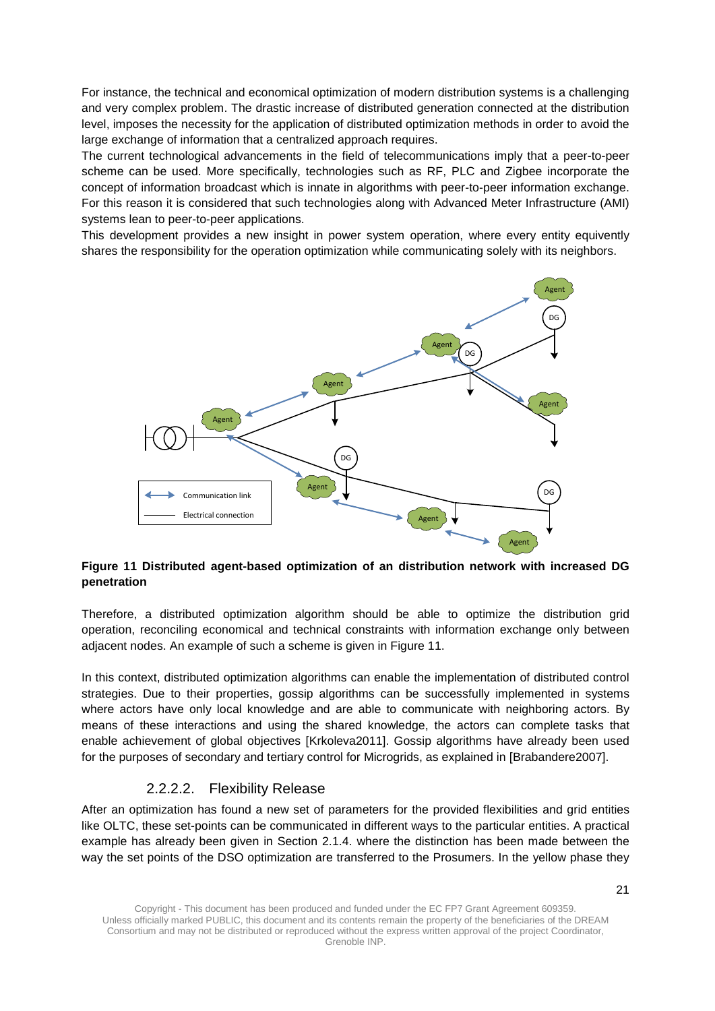For instance, the technical and economical optimization of modern distribution systems is a challenging and very complex problem. The drastic increase of distributed generation connected at the distribution level, imposes the necessity for the application of distributed optimization methods in order to avoid the large exchange of information that a centralized approach requires.

The current technological advancements in the field of telecommunications imply that a peer-to-peer scheme can be used. More specifically, technologies such as RF, PLC and Zigbee incorporate the concept of information broadcast which is innate in algorithms with peer-to-peer information exchange. For this reason it is considered that such technologies along with Advanced Meter Infrastructure (AMI) systems lean to peer-to-peer applications.

This development provides a new insight in power system operation, where every entity equivently shares the responsibility for the operation optimization while communicating solely with its neighbors.



#### <span id="page-20-1"></span>**Figure 11 Distributed agent-based optimization of an distribution network with increased DG penetration**

Therefore, a distributed optimization algorithm should be able to optimize the distribution grid operation, reconciling economical and technical constraints with information exchange only between adjacent nodes. An example of such a scheme is given in [Figure 11.](#page-20-1)

In this context, distributed optimization algorithms can enable the implementation of distributed control strategies. Due to their properties, gossip algorithms can be successfully implemented in systems where actors have only local knowledge and are able to communicate with neighboring actors. By means of these interactions and using the shared knowledge, the actors can complete tasks that enable achievement of global objectives [Krkoleva2011]. Gossip algorithms have already been used for the purposes of secondary and tertiary control for Microgrids, as explained in [Brabandere2007].

#### 2.2.2.2. Flexibility Release

<span id="page-20-0"></span>After an optimization has found a new set of parameters for the provided flexibilities and grid entities like OLTC, these set-points can be communicated in different ways to the particular entities. A practical example has already been given in Section [2.1.4.](#page-15-1) where the distinction has been made between the way the set points of the DSO optimization are transferred to the Prosumers. In the yellow phase they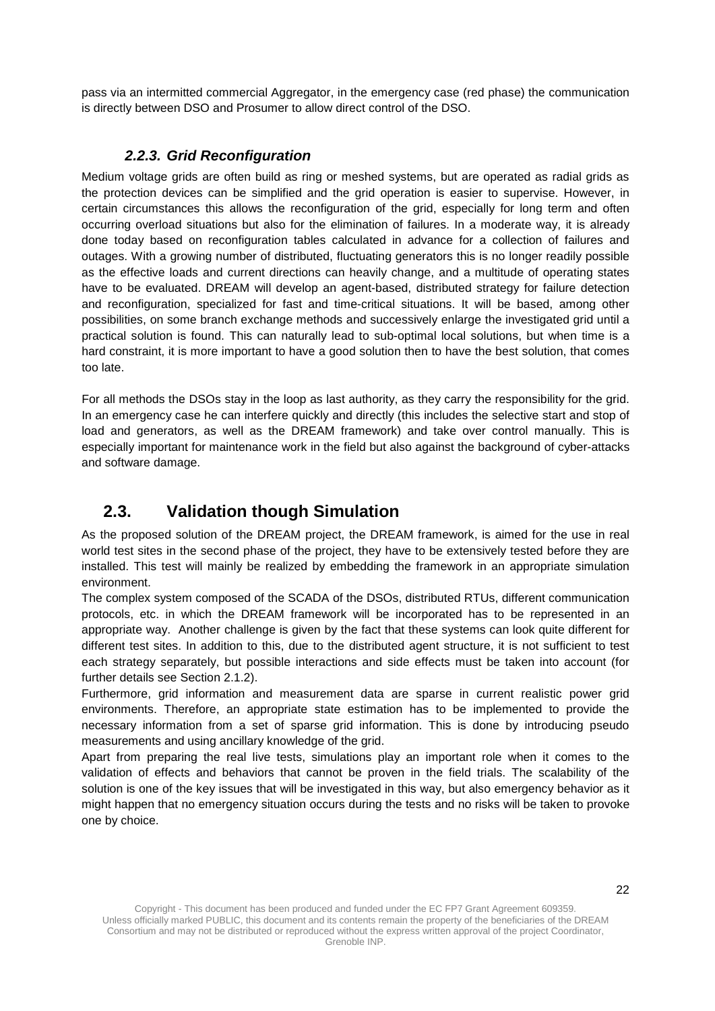pass via an intermitted commercial Aggregator, in the emergency case (red phase) the communication is directly between DSO and Prosumer to allow direct control of the DSO.

### *2.2.3. Grid Reconfiguration*

<span id="page-21-0"></span>Medium voltage grids are often build as ring or meshed systems, but are operated as radial grids as the protection devices can be simplified and the grid operation is easier to supervise. However, in certain circumstances this allows the reconfiguration of the grid, especially for long term and often occurring overload situations but also for the elimination of failures. In a moderate way, it is already done today based on reconfiguration tables calculated in advance for a collection of failures and outages. With a growing number of distributed, fluctuating generators this is no longer readily possible as the effective loads and current directions can heavily change, and a multitude of operating states have to be evaluated. DREAM will develop an agent-based, distributed strategy for failure detection and reconfiguration, specialized for fast and time-critical situations. It will be based, among other possibilities, on some branch exchange methods and successively enlarge the investigated grid until a practical solution is found. This can naturally lead to sub-optimal local solutions, but when time is a hard constraint, it is more important to have a good solution then to have the best solution, that comes too late.

For all methods the DSOs stay in the loop as last authority, as they carry the responsibility for the grid. In an emergency case he can interfere quickly and directly (this includes the selective start and stop of load and generators, as well as the DREAM framework) and take over control manually. This is especially important for maintenance work in the field but also against the background of cyber-attacks and software damage.

## <span id="page-21-1"></span>**2.3. Validation though Simulation**

As the proposed solution of the DREAM project, the DREAM framework, is aimed for the use in real world test sites in the second phase of the project, they have to be extensively tested before they are installed. This test will mainly be realized by embedding the framework in an appropriate simulation environment.

The complex system composed of the SCADA of the DSOs, distributed RTUs, different communication protocols, etc. in which the DREAM framework will be incorporated has to be represented in an appropriate way. Another challenge is given by the fact that these systems can look quite different for different test sites. In addition to this, due to the distributed agent structure, it is not sufficient to test each strategy separately, but possible interactions and side effects must be taken into account (for further details see Section [2.1.2\)](#page-14-0).

Furthermore, grid information and measurement data are sparse in current realistic power grid environments. Therefore, an appropriate state estimation has to be implemented to provide the necessary information from a set of sparse grid information. This is done by introducing pseudo measurements and using ancillary knowledge of the grid.

Apart from preparing the real live tests, simulations play an important role when it comes to the validation of effects and behaviors that cannot be proven in the field trials. The scalability of the solution is one of the key issues that will be investigated in this way, but also emergency behavior as it might happen that no emergency situation occurs during the tests and no risks will be taken to provoke one by choice.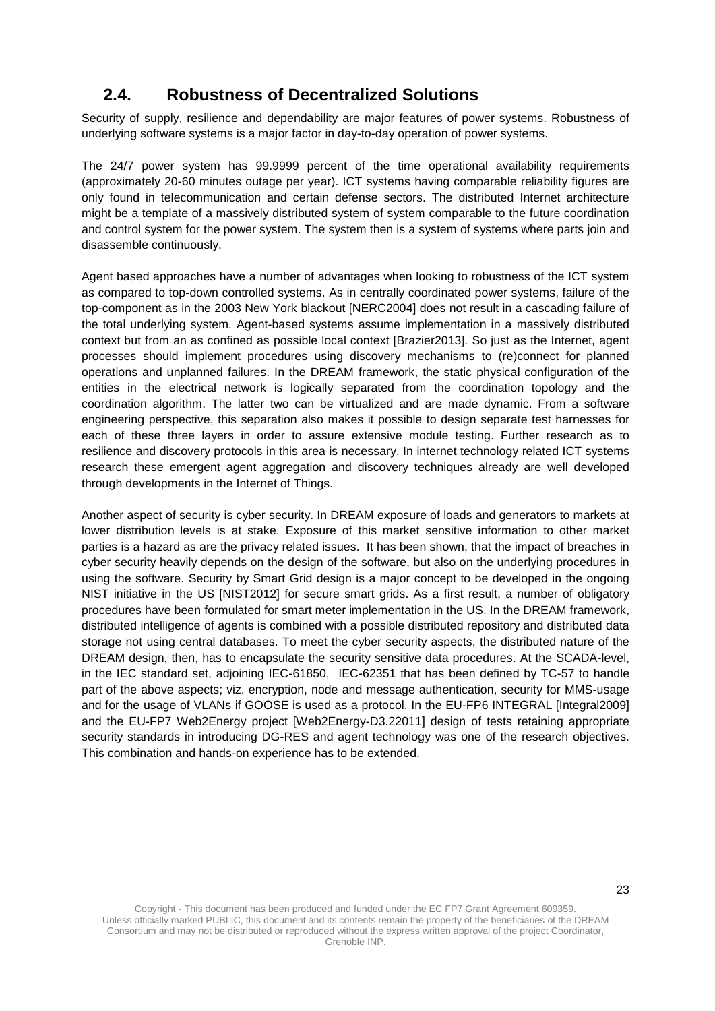## <span id="page-22-0"></span>**2.4. Robustness of Decentralized Solutions**

Security of supply, resilience and dependability are major features of power systems. Robustness of underlying software systems is a major factor in day-to-day operation of power systems.

The 24/7 power system has 99.9999 percent of the time operational availability requirements (approximately 20-60 minutes outage per year). ICT systems having comparable reliability figures are only found in telecommunication and certain defense sectors. The distributed Internet architecture might be a template of a massively distributed system of system comparable to the future coordination and control system for the power system. The system then is a system of systems where parts join and disassemble continuously.

Agent based approaches have a number of advantages when looking to robustness of the ICT system as compared to top-down controlled systems. As in centrally coordinated power systems, failure of the top-component as in the 2003 New York blackout [NERC2004] does not result in a cascading failure of the total underlying system. Agent-based systems assume implementation in a massively distributed context but from an as confined as possible local context [Brazier2013]. So just as the Internet, agent processes should implement procedures using discovery mechanisms to (re)connect for planned operations and unplanned failures. In the DREAM framework, the static physical configuration of the entities in the electrical network is logically separated from the coordination topology and the coordination algorithm. The latter two can be virtualized and are made dynamic. From a software engineering perspective, this separation also makes it possible to design separate test harnesses for each of these three layers in order to assure extensive module testing. Further research as to resilience and discovery protocols in this area is necessary. In internet technology related ICT systems research these emergent agent aggregation and discovery techniques already are well developed through developments in the Internet of Things.

Another aspect of security is cyber security. In DREAM exposure of loads and generators to markets at lower distribution levels is at stake. Exposure of this market sensitive information to other market parties is a hazard as are the privacy related issues. It has been shown, that the impact of breaches in cyber security heavily depends on the design of the software, but also on the underlying procedures in using the software. Security by Smart Grid design is a major concept to be developed in the ongoing NIST initiative in the US [NIST2012] for secure smart grids. As a first result, a number of obligatory procedures have been formulated for smart meter implementation in the US. In the DREAM framework, distributed intelligence of agents is combined with a possible distributed repository and distributed data storage not using central databases. To meet the cyber security aspects, the distributed nature of the DREAM design, then, has to encapsulate the security sensitive data procedures. At the SCADA-level, in the IEC standard set, adjoining IEC-61850, IEC-62351 that has been defined by TC-57 to handle part of the above aspects; viz. encryption, node and message authentication, security for MMS-usage and for the usage of VLANs if GOOSE is used as a protocol. In the EU-FP6 INTEGRAL [Integral2009] and the EU-FP7 Web2Energy project [Web2Energy-D3.22011] design of tests retaining appropriate security standards in introducing DG-RES and agent technology was one of the research objectives. This combination and hands-on experience has to be extended.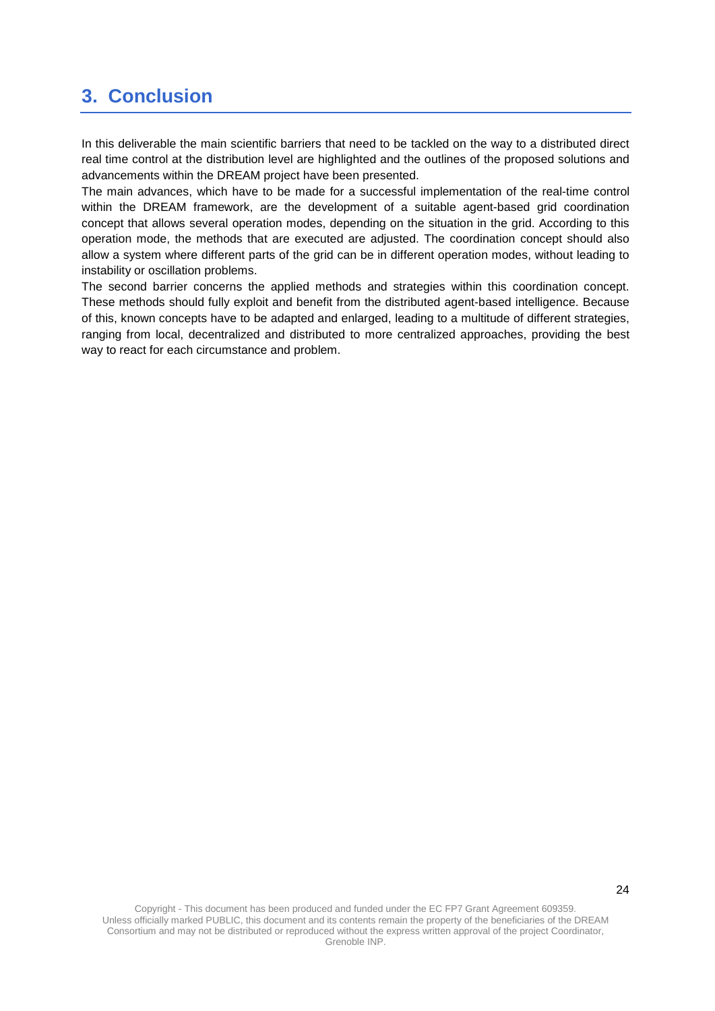## <span id="page-23-0"></span>**3. Conclusion**

In this deliverable the main scientific barriers that need to be tackled on the way to a distributed direct real time control at the distribution level are highlighted and the outlines of the proposed solutions and advancements within the DREAM project have been presented.

The main advances, which have to be made for a successful implementation of the real-time control within the DREAM framework, are the development of a suitable agent-based grid coordination concept that allows several operation modes, depending on the situation in the grid. According to this operation mode, the methods that are executed are adjusted. The coordination concept should also allow a system where different parts of the grid can be in different operation modes, without leading to instability or oscillation problems.

The second barrier concerns the applied methods and strategies within this coordination concept. These methods should fully exploit and benefit from the distributed agent-based intelligence. Because of this, known concepts have to be adapted and enlarged, leading to a multitude of different strategies, ranging from local, decentralized and distributed to more centralized approaches, providing the best way to react for each circumstance and problem.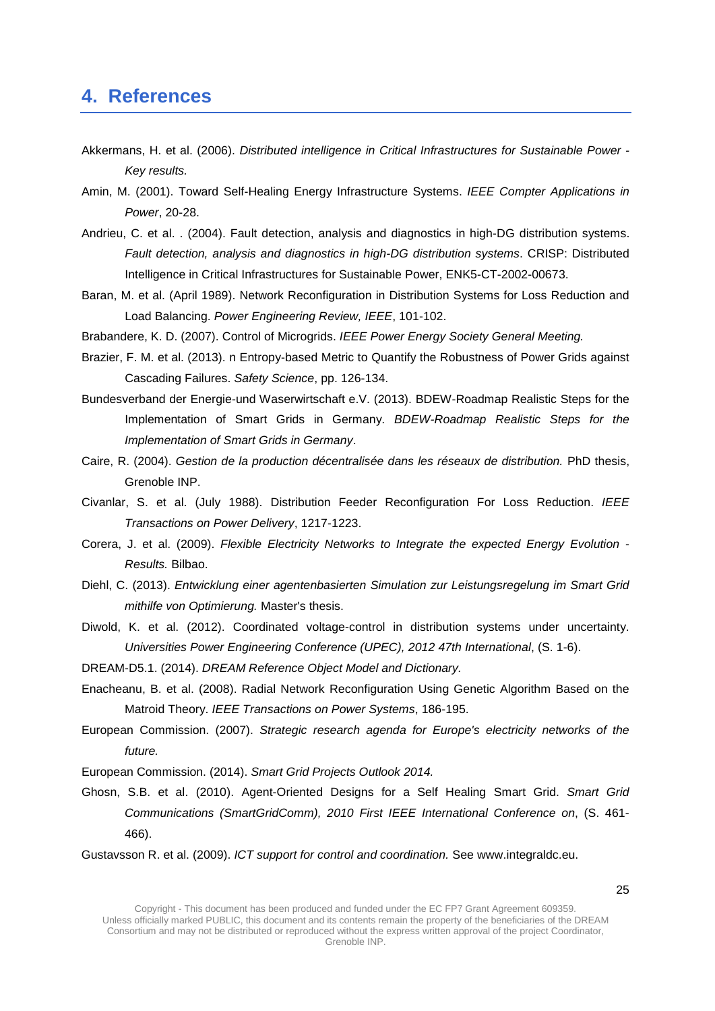### <span id="page-24-0"></span>**4. References**

- Akkermans, H. et al. (2006). *Distributed intelligence in Critical Infrastructures for Sustainable Power - Key results.*
- Amin, M. (2001). Toward Self-Healing Energy Infrastructure Systems. *IEEE Compter Applications in Power*, 20-28.
- Andrieu, C. et al. . (2004). Fault detection, analysis and diagnostics in high-DG distribution systems. *Fault detection, analysis and diagnostics in high-DG distribution systems*. CRISP: Distributed Intelligence in Critical Infrastructures for Sustainable Power, ENK5-CT-2002-00673.
- Baran, M. et al. (April 1989). Network Reconfiguration in Distribution Systems for Loss Reduction and Load Balancing. *Power Engineering Review, IEEE*, 101-102.

Brabandere, K. D. (2007). Control of Microgrids. *IEEE Power Energy Society General Meeting.*

- Brazier, F. M. et al. (2013). n Entropy-based Metric to Quantify the Robustness of Power Grids against Cascading Failures. *Safety Science*, pp. 126-134.
- Bundesverband der Energie-und Waserwirtschaft e.V. (2013). BDEW-Roadmap Realistic Steps for the Implementation of Smart Grids in Germany. *BDEW-Roadmap Realistic Steps for the Implementation of Smart Grids in Germany*.
- Caire, R. (2004). *Gestion de la production décentralisée dans les réseaux de distribution.* PhD thesis, Grenoble INP.
- Civanlar, S. et al. (July 1988). Distribution Feeder Reconfiguration For Loss Reduction. *IEEE Transactions on Power Delivery*, 1217-1223.
- Corera, J. et al. (2009). *Flexible Electricity Networks to Integrate the expected Energy Evolution - Results.* Bilbao.
- Diehl, C. (2013). *Entwicklung einer agentenbasierten Simulation zur Leistungsregelung im Smart Grid mithilfe von Optimierung.* Master's thesis.
- Diwold, K. et al. (2012). Coordinated voltage-control in distribution systems under uncertainty. *Universities Power Engineering Conference (UPEC), 2012 47th International*, (S. 1-6).

DREAM-D5.1. (2014). *DREAM Reference Object Model and Dictionary.*

- Enacheanu, B. et al. (2008). Radial Network Reconfiguration Using Genetic Algorithm Based on the Matroid Theory. *IEEE Transactions on Power Systems*, 186-195.
- European Commission. (2007). *Strategic research agenda for Europe's electricity networks of the future.*

European Commission. (2014). *Smart Grid Projects Outlook 2014.*

Ghosn, S.B. et al. (2010). Agent-Oriented Designs for a Self Healing Smart Grid. *Smart Grid Communications (SmartGridComm), 2010 First IEEE International Conference on*, (S. 461- 466).

Gustavsson R. et al. (2009). *ICT support for control and coordination.* See www.integraldc.eu.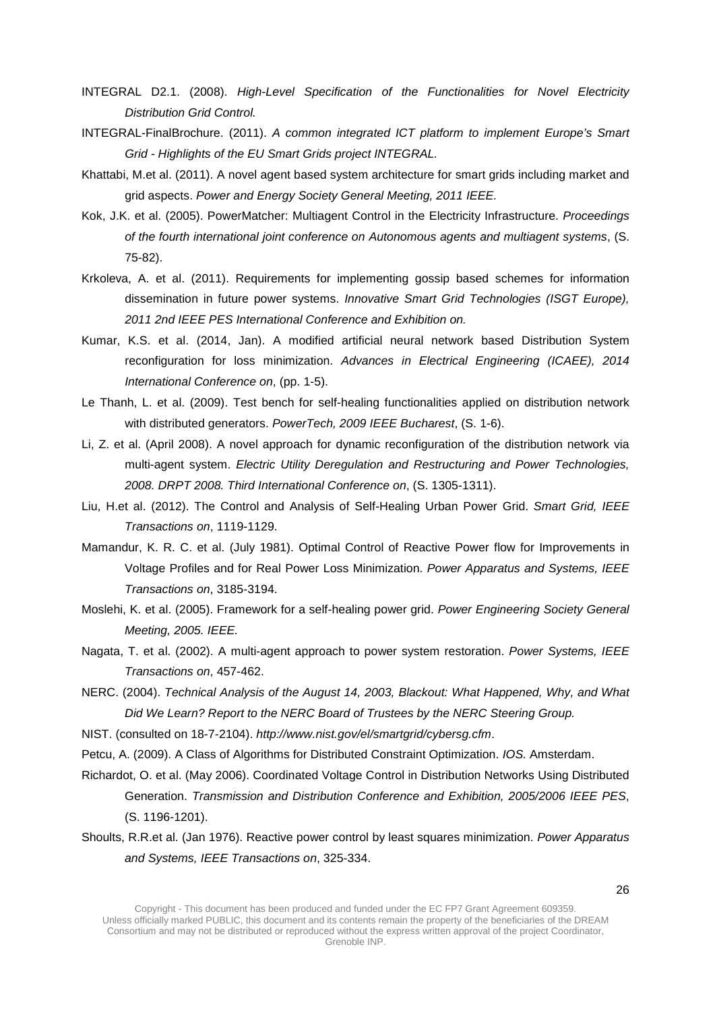- INTEGRAL D2.1. (2008). *High-Level Specification of the Functionalities for Novel Electricity Distribution Grid Control.*
- INTEGRAL-FinalBrochure. (2011). *A common integrated ICT platform to implement Europe's Smart Grid - Highlights of the EU Smart Grids project INTEGRAL.*
- Khattabi, M.et al. (2011). A novel agent based system architecture for smart grids including market and grid aspects. *Power and Energy Society General Meeting, 2011 IEEE.*
- Kok, J.K. et al. (2005). PowerMatcher: Multiagent Control in the Electricity Infrastructure. *Proceedings of the fourth international joint conference on Autonomous agents and multiagent systems*, (S. 75-82).
- Krkoleva, A. et al. (2011). Requirements for implementing gossip based schemes for information dissemination in future power systems. *Innovative Smart Grid Technologies (ISGT Europe), 2011 2nd IEEE PES International Conference and Exhibition on.*
- Kumar, K.S. et al. (2014, Jan). A modified artificial neural network based Distribution System reconfiguration for loss minimization. *Advances in Electrical Engineering (ICAEE), 2014 International Conference on*, (pp. 1-5).
- Le Thanh, L. et al. (2009). Test bench for self-healing functionalities applied on distribution network with distributed generators. *PowerTech, 2009 IEEE Bucharest*, (S. 1-6).
- Li, Z. et al. (April 2008). A novel approach for dynamic reconfiguration of the distribution network via multi-agent system. *Electric Utility Deregulation and Restructuring and Power Technologies, 2008. DRPT 2008. Third International Conference on*, (S. 1305-1311).
- Liu, H.et al. (2012). The Control and Analysis of Self-Healing Urban Power Grid. *Smart Grid, IEEE Transactions on*, 1119-1129.
- Mamandur, K. R. C. et al. (July 1981). Optimal Control of Reactive Power flow for Improvements in Voltage Profiles and for Real Power Loss Minimization. *Power Apparatus and Systems, IEEE Transactions on*, 3185-3194.
- Moslehi, K. et al. (2005). Framework for a self-healing power grid. *Power Engineering Society General Meeting, 2005. IEEE.*
- Nagata, T. et al. (2002). A multi-agent approach to power system restoration. *Power Systems, IEEE Transactions on*, 457-462.
- NERC. (2004). *Technical Analysis of the August 14, 2003, Blackout: What Happened, Why, and What Did We Learn? Report to the NERC Board of Trustees by the NERC Steering Group.*
- NIST. (consulted on 18-7-2104). *http://www.nist.gov/el/smartgrid/cybersg.cfm*.
- Petcu, A. (2009). A Class of Algorithms for Distributed Constraint Optimization. *IOS.* Amsterdam.
- Richardot, O. et al. (May 2006). Coordinated Voltage Control in Distribution Networks Using Distributed Generation. *Transmission and Distribution Conference and Exhibition, 2005/2006 IEEE PES*, (S. 1196-1201).
- Shoults, R.R.et al. (Jan 1976). Reactive power control by least squares minimization. *Power Apparatus and Systems, IEEE Transactions on*, 325-334.